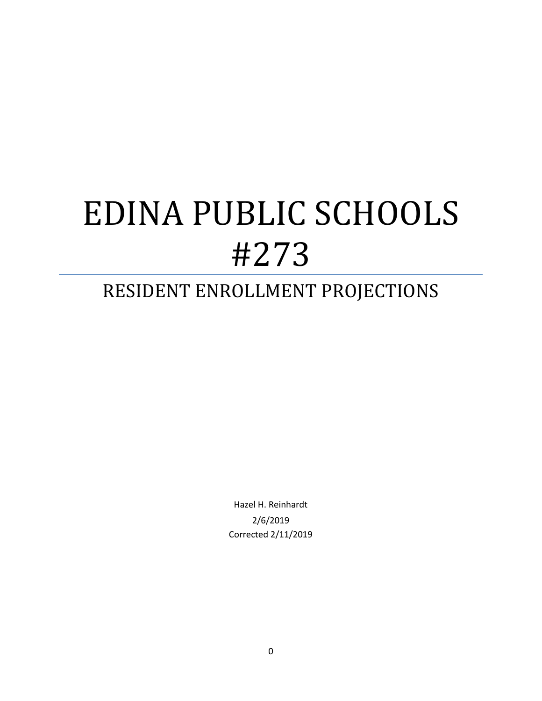## RESIDENT ENROLLMENT PROJECTIONS

Hazel H. Reinhardt 2/6/2019 Corrected 2/11/2019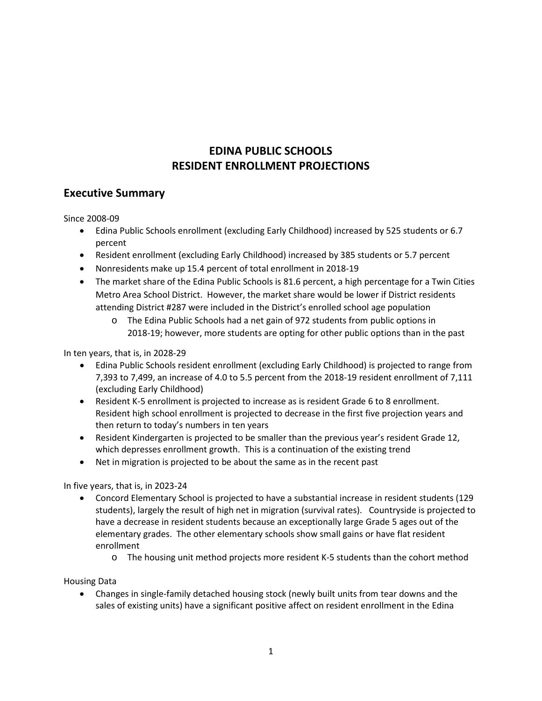## **EDINA PUBLIC SCHOOLS RESIDENT ENROLLMENT PROJECTIONS**

## **Executive Summary**

Since 2008-09

- Edina Public Schools enrollment (excluding Early Childhood) increased by 525 students or 6.7 percent
- Resident enrollment (excluding Early Childhood) increased by 385 students or 5.7 percent
- Nonresidents make up 15.4 percent of total enrollment in 2018-19
- The market share of the Edina Public Schools is 81.6 percent, a high percentage for a Twin Cities Metro Area School District. However, the market share would be lower if District residents attending District #287 were included in the District's enrolled school age population
	- o The Edina Public Schools had a net gain of 972 students from public options in 2018-19; however, more students are opting for other public options than in the past

In ten years, that is, in 2028-29

- Edina Public Schools resident enrollment (excluding Early Childhood) is projected to range from 7,393 to 7,499, an increase of 4.0 to 5.5 percent from the 2018-19 resident enrollment of 7,111 (excluding Early Childhood)
- Resident K-5 enrollment is projected to increase as is resident Grade 6 to 8 enrollment. Resident high school enrollment is projected to decrease in the first five projection years and then return to today's numbers in ten years
- Resident Kindergarten is projected to be smaller than the previous year's resident Grade 12, which depresses enrollment growth. This is a continuation of the existing trend
- Net in migration is projected to be about the same as in the recent past

In five years, that is, in 2023-24

- Concord Elementary School is projected to have a substantial increase in resident students (129 students), largely the result of high net in migration (survival rates). Countryside is projected to have a decrease in resident students because an exceptionally large Grade 5 ages out of the elementary grades. The other elementary schools show small gains or have flat resident enrollment
	- o The housing unit method projects more resident K-5 students than the cohort method

#### Housing Data

• Changes in single-family detached housing stock (newly built units from tear downs and the sales of existing units) have a significant positive affect on resident enrollment in the Edina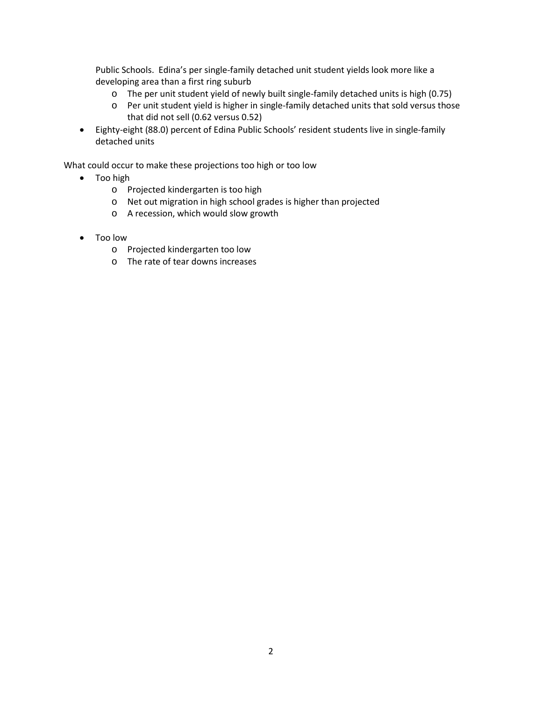Public Schools. Edina's per single-family detached unit student yields look more like a developing area than a first ring suburb

- o The per unit student yield of newly built single-family detached units is high (0.75)
- o Per unit student yield is higher in single-family detached units that sold versus those that did not sell (0.62 versus 0.52)
- Eighty-eight (88.0) percent of Edina Public Schools' resident students live in single-family detached units

What could occur to make these projections too high or too low

- Too high
	- o Projected kindergarten is too high
	- o Net out migration in high school grades is higher than projected
	- o A recession, which would slow growth
- Too low
	- o Projected kindergarten too low
	- o The rate of tear downs increases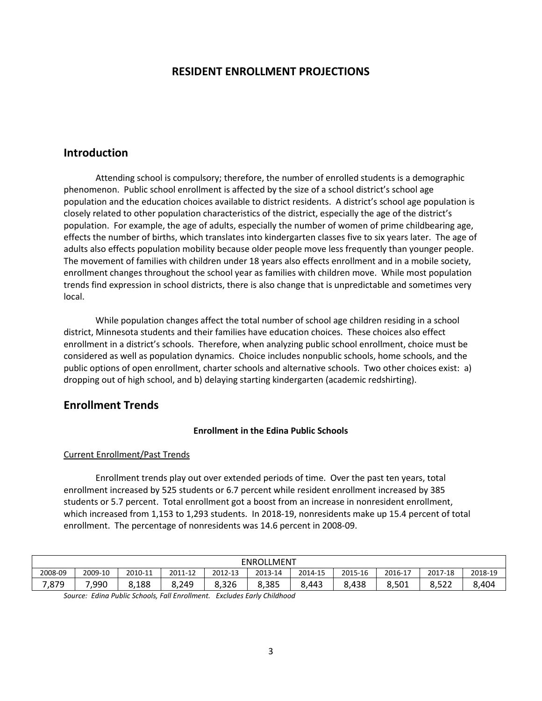## **RESIDENT ENROLLMENT PROJECTIONS**

## **Introduction**

Attending school is compulsory; therefore, the number of enrolled students is a demographic phenomenon. Public school enrollment is affected by the size of a school district's school age population and the education choices available to district residents. A district's school age population is closely related to other population characteristics of the district, especially the age of the district's population. For example, the age of adults, especially the number of women of prime childbearing age, effects the number of births, which translates into kindergarten classes five to six years later. The age of adults also effects population mobility because older people move less frequently than younger people. The movement of families with children under 18 years also effects enrollment and in a mobile society, enrollment changes throughout the school year as families with children move. While most population trends find expression in school districts, there is also change that is unpredictable and sometimes very local.

While population changes affect the total number of school age children residing in a school district, Minnesota students and their families have education choices. These choices also effect enrollment in a district's schools. Therefore, when analyzing public school enrollment, choice must be considered as well as population dynamics. Choice includes nonpublic schools, home schools, and the public options of open enrollment, charter schools and alternative schools. Two other choices exist: a) dropping out of high school, and b) delaying starting kindergarten (academic redshirting).

## **Enrollment Trends**

#### **Enrollment in the Edina Public Schools**

#### Current Enrollment/Past Trends

Enrollment trends play out over extended periods of time. Over the past ten years, total enrollment increased by 525 students or 6.7 percent while resident enrollment increased by 385 students or 5.7 percent. Total enrollment got a boost from an increase in nonresident enrollment, which increased from 1,153 to 1,293 students. In 2018-19, nonresidents make up 15.4 percent of total enrollment. The percentage of nonresidents was 14.6 percent in 2008-09.

| <b>ENROLLMENT</b> |         |         |            |         |         |         |         |         |         |         |
|-------------------|---------|---------|------------|---------|---------|---------|---------|---------|---------|---------|
| 2008-09           | 2009-10 | 2010-11 | 2011-12    | 2012-13 | 2013-14 | 2014-15 | 2015-16 | 2016-17 | 2017-18 | 2018-19 |
| 7,879             | 990,'   | 8,188   | 8,249<br>O | 8,326   | 8,385   | 8.443   | 8,438   | 8,501   | 8,522   | 8,404   |

*Source: Edina Public Schools, Fall Enrollment. Excludes Early Childhood*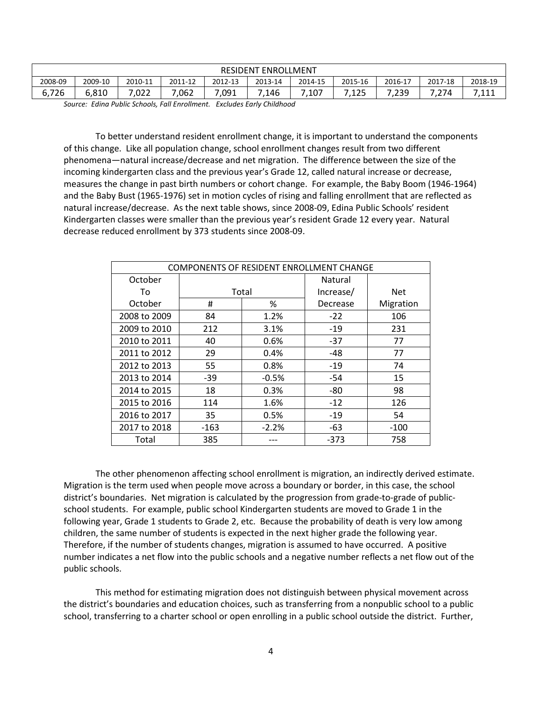| <b>RESIDENT</b><br>' ENROLLMENT |         |         |         |         |         |         |         |                 |         |           |
|---------------------------------|---------|---------|---------|---------|---------|---------|---------|-----------------|---------|-----------|
| 2008-09                         | 2009-10 | 2010-11 | 2011-12 | 2012-13 | 2013-14 | 2014-15 | 2015-16 | 2016-17         | 2017-18 | 2018-19   |
| ,726                            | 6,810   | .022    | ,062    | 7,091   | 7,146   | 7,107   | ,125    | $^{\circ}$ ,239 | .274    | 7114<br>. |

*Source: Edina Public Schools, Fall Enrollment. Excludes Early Childhood*

To better understand resident enrollment change, it is important to understand the components of this change. Like all population change, school enrollment changes result from two different phenomena—natural increase/decrease and net migration. The difference between the size of the incoming kindergarten class and the previous year's Grade 12, called natural increase or decrease, measures the change in past birth numbers or cohort change. For example, the Baby Boom (1946-1964) and the Baby Bust (1965-1976) set in motion cycles of rising and falling enrollment that are reflected as natural increase/decrease. As the next table shows, since 2008-09, Edina Public Schools' resident Kindergarten classes were smaller than the previous year's resident Grade 12 every year. Natural decrease reduced enrollment by 373 students since 2008-09.

| <b>COMPONENTS OF RESIDENT ENROLLMENT CHANGE</b> |        |         |           |            |  |  |  |
|-------------------------------------------------|--------|---------|-----------|------------|--|--|--|
| October                                         |        |         | Natural   |            |  |  |  |
| To                                              |        | Total   | Increase/ | <b>Net</b> |  |  |  |
| October                                         | #      | %       | Decrease  | Migration  |  |  |  |
| 2008 to 2009                                    | 84     | 1.2%    | $-22$     | 106        |  |  |  |
| 2009 to 2010                                    | 212    | 3.1%    | $-19$     | 231        |  |  |  |
| 2010 to 2011                                    | 40     | 0.6%    | $-37$     | 77         |  |  |  |
| 2011 to 2012                                    | 29     | 0.4%    | -48       | 77         |  |  |  |
| 2012 to 2013                                    | 55     | 0.8%    | $-19$     | 74         |  |  |  |
| 2013 to 2014                                    | -39    | $-0.5%$ | -54       | 15         |  |  |  |
| 2014 to 2015                                    | 18     | 0.3%    | -80       | 98         |  |  |  |
| 2015 to 2016                                    | 114    | 1.6%    | $-12$     | 126        |  |  |  |
| 2016 to 2017                                    | 35     | 0.5%    | $-19$     | 54         |  |  |  |
| 2017 to 2018                                    | $-163$ | $-2.2%$ | -63       | -100       |  |  |  |
| Total                                           | 385    |         | $-373$    | 758        |  |  |  |

The other phenomenon affecting school enrollment is migration, an indirectly derived estimate. Migration is the term used when people move across a boundary or border, in this case, the school district's boundaries. Net migration is calculated by the progression from grade-to-grade of publicschool students. For example, public school Kindergarten students are moved to Grade 1 in the following year, Grade 1 students to Grade 2, etc. Because the probability of death is very low among children, the same number of students is expected in the next higher grade the following year. Therefore, if the number of students changes, migration is assumed to have occurred. A positive number indicates a net flow into the public schools and a negative number reflects a net flow out of the public schools.

This method for estimating migration does not distinguish between physical movement across the district's boundaries and education choices, such as transferring from a nonpublic school to a public school, transferring to a charter school or open enrolling in a public school outside the district. Further,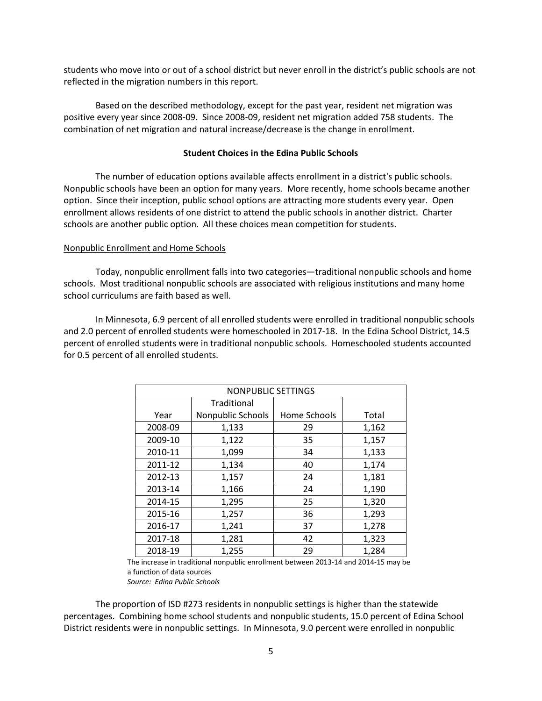students who move into or out of a school district but never enroll in the district's public schools are not reflected in the migration numbers in this report.

Based on the described methodology, except for the past year, resident net migration was positive every year since 2008-09. Since 2008-09, resident net migration added 758 students. The combination of net migration and natural increase/decrease is the change in enrollment.

#### **Student Choices in the Edina Public Schools**

The number of education options available affects enrollment in a district's public schools. Nonpublic schools have been an option for many years. More recently, home schools became another option. Since their inception, public school options are attracting more students every year. Open enrollment allows residents of one district to attend the public schools in another district. Charter schools are another public option. All these choices mean competition for students.

#### Nonpublic Enrollment and Home Schools

Today, nonpublic enrollment falls into two categories—traditional nonpublic schools and home schools. Most traditional nonpublic schools are associated with religious institutions and many home school curriculums are faith based as well.

In Minnesota, 6.9 percent of all enrolled students were enrolled in traditional nonpublic schools and 2.0 percent of enrolled students were homeschooled in 2017-18. In the Edina School District, 14.5 percent of enrolled students were in traditional nonpublic schools. Homeschooled students accounted for 0.5 percent of all enrolled students.

| NONPUBLIC SETTINGS |                   |              |       |  |  |  |  |
|--------------------|-------------------|--------------|-------|--|--|--|--|
|                    | Traditional       |              |       |  |  |  |  |
| Year               | Nonpublic Schools | Home Schools | Total |  |  |  |  |
| 2008-09            | 1,133             | 29           | 1,162 |  |  |  |  |
| 2009-10            | 1,122             | 35           | 1,157 |  |  |  |  |
| 2010-11            | 1,099             | 34           | 1,133 |  |  |  |  |
| 2011-12            | 1,134             | 40           | 1,174 |  |  |  |  |
| 2012-13            | 1,157             | 24           | 1,181 |  |  |  |  |
| 2013-14            | 1,166             | 24           | 1,190 |  |  |  |  |
| 2014-15            | 1,295             | 25           | 1,320 |  |  |  |  |
| 2015-16            | 1,257             | 36           | 1,293 |  |  |  |  |
| 2016-17            | 1,241             | 37           | 1,278 |  |  |  |  |
| 2017-18            | 1,281             | 42           | 1,323 |  |  |  |  |
| 2018-19            | 1,255             | 29           | 1,284 |  |  |  |  |

The increase in traditional nonpublic enrollment between 2013-14 and 2014-15 may be a function of data sources *Source: Edina Public Schools*

The proportion of ISD #273 residents in nonpublic settings is higher than the statewide percentages. Combining home school students and nonpublic students, 15.0 percent of Edina School District residents were in nonpublic settings. In Minnesota, 9.0 percent were enrolled in nonpublic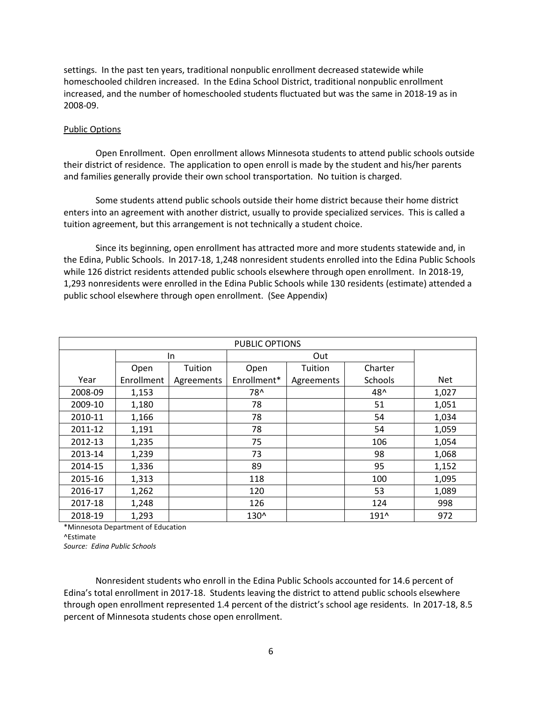settings. In the past ten years, traditional nonpublic enrollment decreased statewide while homeschooled children increased. In the Edina School District, traditional nonpublic enrollment increased, and the number of homeschooled students fluctuated but was the same in 2018-19 as in 2008-09.

#### Public Options

Open Enrollment. Open enrollment allows Minnesota students to attend public schools outside their district of residence. The application to open enroll is made by the student and his/her parents and families generally provide their own school transportation. No tuition is charged.

Some students attend public schools outside their home district because their home district enters into an agreement with another district, usually to provide specialized services. This is called a tuition agreement, but this arrangement is not technically a student choice.

Since its beginning, open enrollment has attracted more and more students statewide and, in the Edina, Public Schools. In 2017-18, 1,248 nonresident students enrolled into the Edina Public Schools while 126 district residents attended public schools elsewhere through open enrollment. In 2018-19, 1,293 nonresidents were enrolled in the Edina Public Schools while 130 residents (estimate) attended a public school elsewhere through open enrollment. (See Appendix)

| <b>PUBLIC OPTIONS</b> |            |            |             |            |         |            |  |
|-----------------------|------------|------------|-------------|------------|---------|------------|--|
|                       |            | In         |             | Out        |         |            |  |
|                       | Open       | Tuition    | Open        | Tuition    | Charter |            |  |
| Year                  | Enrollment | Agreements | Enrollment* | Agreements | Schools | <b>Net</b> |  |
| 2008-09               | 1,153      |            | 78^         |            | 48^     | 1,027      |  |
| 2009-10               | 1,180      |            | 78          |            | 51      | 1,051      |  |
| 2010-11               | 1,166      |            | 78          |            | 54      | 1,034      |  |
| 2011-12               | 1,191      |            | 78          |            | 54      | 1,059      |  |
| 2012-13               | 1,235      |            | 75          |            | 106     | 1,054      |  |
| 2013-14               | 1,239      |            | 73          |            | 98      | 1,068      |  |
| 2014-15               | 1,336      |            | 89          |            | 95      | 1,152      |  |
| 2015-16               | 1,313      |            | 118         |            | 100     | 1,095      |  |
| 2016-17               | 1,262      |            | 120         |            | 53      | 1,089      |  |
| 2017-18               | 1,248      |            | 126         |            | 124     | 998        |  |
| 2018-19               | 1,293      |            | 130^        |            | 191^    | 972        |  |

\*Minnesota Department of Education

^Estimate

*Source: Edina Public Schools* 

Nonresident students who enroll in the Edina Public Schools accounted for 14.6 percent of Edina's total enrollment in 2017-18. Students leaving the district to attend public schools elsewhere through open enrollment represented 1.4 percent of the district's school age residents. In 2017-18, 8.5 percent of Minnesota students chose open enrollment.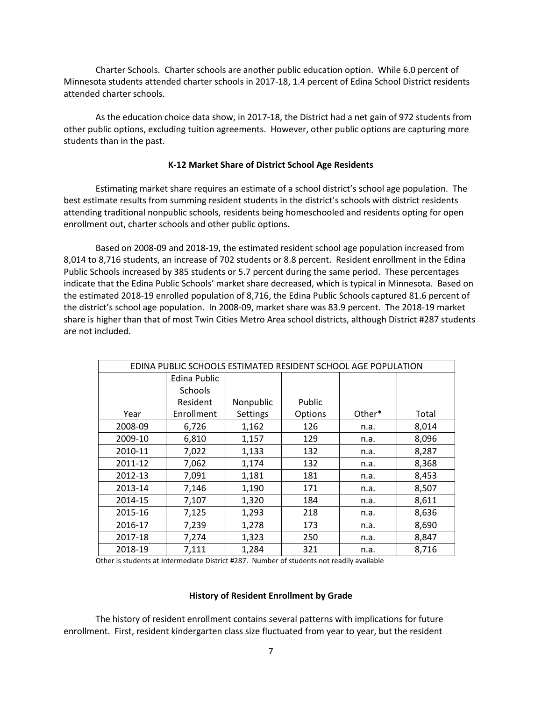Charter Schools. Charter schools are another public education option. While 6.0 percent of Minnesota students attended charter schools in 2017-18, 1.4 percent of Edina School District residents attended charter schools.

As the education choice data show, in 2017-18, the District had a net gain of 972 students from other public options, excluding tuition agreements. However, other public options are capturing more students than in the past.

#### **K-12 Market Share of District School Age Residents**

Estimating market share requires an estimate of a school district's school age population. The best estimate results from summing resident students in the district's schools with district residents attending traditional nonpublic schools, residents being homeschooled and residents opting for open enrollment out, charter schools and other public options.

Based on 2008-09 and 2018-19, the estimated resident school age population increased from 8,014 to 8,716 students, an increase of 702 students or 8.8 percent. Resident enrollment in the Edina Public Schools increased by 385 students or 5.7 percent during the same period. These percentages indicate that the Edina Public Schools' market share decreased, which is typical in Minnesota. Based on the estimated 2018-19 enrolled population of 8,716, the Edina Public Schools captured 81.6 percent of the district's school age population. In 2008-09, market share was 83.9 percent. The 2018-19 market share is higher than that of most Twin Cities Metro Area school districts, although District #287 students are not included.

| EDINA PUBLIC SCHOOLS ESTIMATED RESIDENT SCHOOL AGE POPULATION |              |           |         |        |       |  |  |  |  |  |
|---------------------------------------------------------------|--------------|-----------|---------|--------|-------|--|--|--|--|--|
|                                                               | Edina Public |           |         |        |       |  |  |  |  |  |
|                                                               | Schools      |           |         |        |       |  |  |  |  |  |
|                                                               | Resident     | Nonpublic | Public  |        |       |  |  |  |  |  |
| Year                                                          | Enrollment   | Settings  | Options | Other* | Total |  |  |  |  |  |
| 2008-09                                                       | 6,726        | 1,162     | 126     | n.a.   | 8,014 |  |  |  |  |  |
| 2009-10                                                       | 6,810        | 1,157     | 129     | n.a.   | 8,096 |  |  |  |  |  |
| 2010-11                                                       | 7,022        | 1,133     | 132     | n.a.   | 8,287 |  |  |  |  |  |
| 2011-12                                                       | 7,062        | 1,174     | 132     | n.a.   | 8,368 |  |  |  |  |  |
| 2012-13                                                       | 7,091        | 1,181     | 181     | n.a.   | 8,453 |  |  |  |  |  |
| 2013-14                                                       | 7,146        | 1,190     | 171     | n.a.   | 8,507 |  |  |  |  |  |
| 2014-15                                                       | 7,107        | 1,320     | 184     | n.a.   | 8,611 |  |  |  |  |  |
| 2015-16                                                       | 7,125        | 1,293     | 218     | n.a.   | 8,636 |  |  |  |  |  |
| 2016-17                                                       | 7,239        | 1,278     | 173     | n.a.   | 8,690 |  |  |  |  |  |
| 2017-18                                                       | 7,274        | 1,323     | 250     | n.a.   | 8,847 |  |  |  |  |  |
| 2018-19                                                       | 7,111        | 1,284     | 321     | n.a.   | 8,716 |  |  |  |  |  |

Other is students at Intermediate District #287. Number of students not readily available

#### **History of Resident Enrollment by Grade**

The history of resident enrollment contains several patterns with implications for future enrollment. First, resident kindergarten class size fluctuated from year to year, but the resident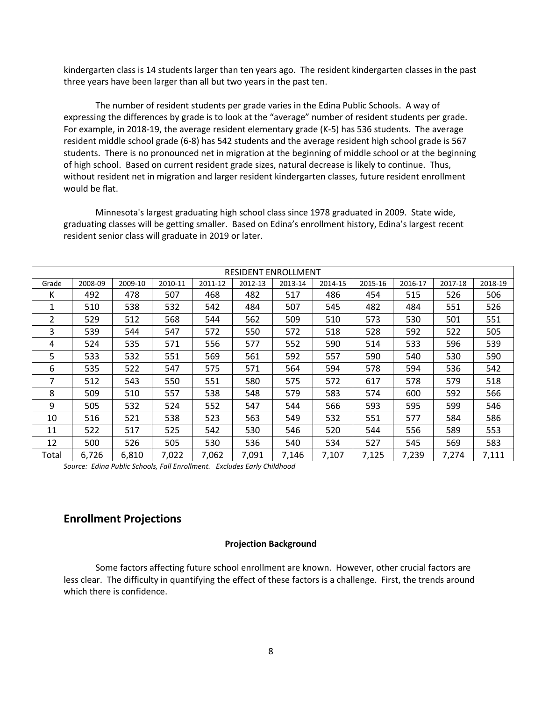kindergarten class is 14 students larger than ten years ago. The resident kindergarten classes in the past three years have been larger than all but two years in the past ten.

The number of resident students per grade varies in the Edina Public Schools. A way of expressing the differences by grade is to look at the "average" number of resident students per grade. For example, in 2018-19, the average resident elementary grade (K-5) has 536 students. The average resident middle school grade (6-8) has 542 students and the average resident high school grade is 567 students. There is no pronounced net in migration at the beginning of middle school or at the beginning of high school. Based on current resident grade sizes, natural decrease is likely to continue. Thus, without resident net in migration and larger resident kindergarten classes, future resident enrollment would be flat.

Minnesota's largest graduating high school class since 1978 graduated in 2009. State wide, graduating classes will be getting smaller. Based on Edina's enrollment history, Edina's largest recent resident senior class will graduate in 2019 or later.

|       | <b>RESIDENT ENROLLMENT</b> |         |         |         |         |         |         |         |         |         |         |
|-------|----------------------------|---------|---------|---------|---------|---------|---------|---------|---------|---------|---------|
| Grade | 2008-09                    | 2009-10 | 2010-11 | 2011-12 | 2012-13 | 2013-14 | 2014-15 | 2015-16 | 2016-17 | 2017-18 | 2018-19 |
| к     | 492                        | 478     | 507     | 468     | 482     | 517     | 486     | 454     | 515     | 526     | 506     |
| 1     | 510                        | 538     | 532     | 542     | 484     | 507     | 545     | 482     | 484     | 551     | 526     |
| 2     | 529                        | 512     | 568     | 544     | 562     | 509     | 510     | 573     | 530     | 501     | 551     |
| 3     | 539                        | 544     | 547     | 572     | 550     | 572     | 518     | 528     | 592     | 522     | 505     |
| 4     | 524                        | 535     | 571     | 556     | 577     | 552     | 590     | 514     | 533     | 596     | 539     |
| 5     | 533                        | 532     | 551     | 569     | 561     | 592     | 557     | 590     | 540     | 530     | 590     |
| 6     | 535                        | 522     | 547     | 575     | 571     | 564     | 594     | 578     | 594     | 536     | 542     |
| 7     | 512                        | 543     | 550     | 551     | 580     | 575     | 572     | 617     | 578     | 579     | 518     |
| 8     | 509                        | 510     | 557     | 538     | 548     | 579     | 583     | 574     | 600     | 592     | 566     |
| 9     | 505                        | 532     | 524     | 552     | 547     | 544     | 566     | 593     | 595     | 599     | 546     |
| 10    | 516                        | 521     | 538     | 523     | 563     | 549     | 532     | 551     | 577     | 584     | 586     |
| 11    | 522                        | 517     | 525     | 542     | 530     | 546     | 520     | 544     | 556     | 589     | 553     |
| 12    | 500                        | 526     | 505     | 530     | 536     | 540     | 534     | 527     | 545     | 569     | 583     |
| Total | 6,726                      | 6,810   | 7,022   | 7,062   | 7,091   | 7,146   | 7,107   | 7,125   | 7,239   | 7,274   | 7,111   |

*Source: Edina Public Schools, Fall Enrollment. Excludes Early Childhood*

#### **Enrollment Projections**

#### **Projection Background**

Some factors affecting future school enrollment are known. However, other crucial factors are less clear. The difficulty in quantifying the effect of these factors is a challenge. First, the trends around which there is confidence.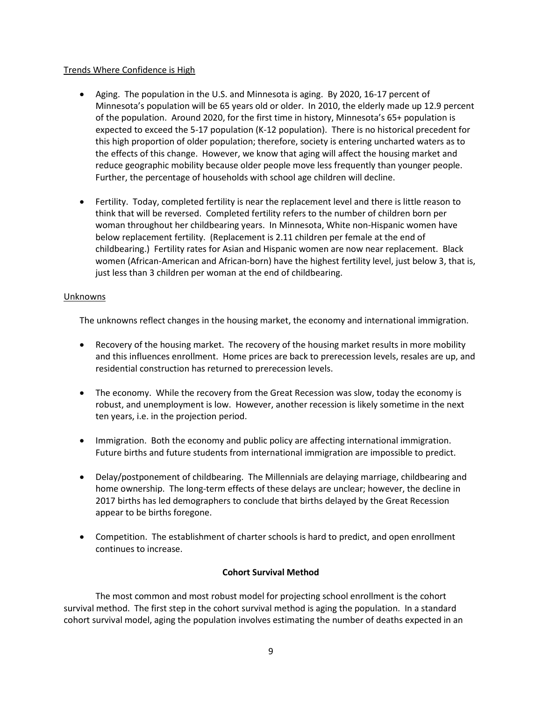#### Trends Where Confidence is High

- Aging. The population in the U.S. and Minnesota is aging. By 2020, 16-17 percent of Minnesota's population will be 65 years old or older. In 2010, the elderly made up 12.9 percent of the population. Around 2020, for the first time in history, Minnesota's 65+ population is expected to exceed the 5-17 population (K-12 population). There is no historical precedent for this high proportion of older population; therefore, society is entering uncharted waters as to the effects of this change. However, we know that aging will affect the housing market and reduce geographic mobility because older people move less frequently than younger people. Further, the percentage of households with school age children will decline.
- Fertility. Today, completed fertility is near the replacement level and there is little reason to think that will be reversed. Completed fertility refers to the number of children born per woman throughout her childbearing years. In Minnesota, White non-Hispanic women have below replacement fertility. (Replacement is 2.11 children per female at the end of childbearing.) Fertility rates for Asian and Hispanic women are now near replacement. Black women (African-American and African-born) have the highest fertility level, just below 3, that is, just less than 3 children per woman at the end of childbearing.

#### Unknowns

The unknowns reflect changes in the housing market, the economy and international immigration.

- Recovery of the housing market. The recovery of the housing market results in more mobility and this influences enrollment. Home prices are back to prerecession levels, resales are up, and residential construction has returned to prerecession levels.
- The economy. While the recovery from the Great Recession was slow, today the economy is robust, and unemployment is low. However, another recession is likely sometime in the next ten years, i.e. in the projection period.
- Immigration. Both the economy and public policy are affecting international immigration. Future births and future students from international immigration are impossible to predict.
- Delay/postponement of childbearing. The Millennials are delaying marriage, childbearing and home ownership. The long-term effects of these delays are unclear; however, the decline in 2017 births has led demographers to conclude that births delayed by the Great Recession appear to be births foregone.
- Competition. The establishment of charter schools is hard to predict, and open enrollment continues to increase.

#### **Cohort Survival Method**

The most common and most robust model for projecting school enrollment is the cohort survival method. The first step in the cohort survival method is aging the population. In a standard cohort survival model, aging the population involves estimating the number of deaths expected in an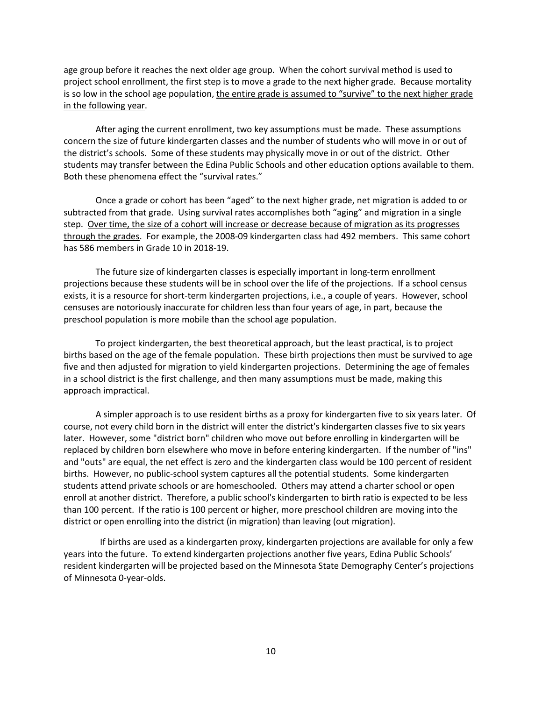age group before it reaches the next older age group. When the cohort survival method is used to project school enrollment, the first step is to move a grade to the next higher grade. Because mortality is so low in the school age population, the entire grade is assumed to "survive" to the next higher grade in the following year.

After aging the current enrollment, two key assumptions must be made. These assumptions concern the size of future kindergarten classes and the number of students who will move in or out of the district's schools. Some of these students may physically move in or out of the district. Other students may transfer between the Edina Public Schools and other education options available to them. Both these phenomena effect the "survival rates."

Once a grade or cohort has been "aged" to the next higher grade, net migration is added to or subtracted from that grade. Using survival rates accomplishes both "aging" and migration in a single step. Over time, the size of a cohort will increase or decrease because of migration as its progresses through the grades. For example, the 2008-09 kindergarten class had 492 members. This same cohort has 586 members in Grade 10 in 2018-19.

The future size of kindergarten classes is especially important in long-term enrollment projections because these students will be in school over the life of the projections. If a school census exists, it is a resource for short-term kindergarten projections, i.e., a couple of years. However, school censuses are notoriously inaccurate for children less than four years of age, in part, because the preschool population is more mobile than the school age population.

To project kindergarten, the best theoretical approach, but the least practical, is to project births based on the age of the female population. These birth projections then must be survived to age five and then adjusted for migration to yield kindergarten projections. Determining the age of females in a school district is the first challenge, and then many assumptions must be made, making this approach impractical.

A simpler approach is to use resident births as a proxy for kindergarten five to six years later. Of course, not every child born in the district will enter the district's kindergarten classes five to six years later. However, some "district born" children who move out before enrolling in kindergarten will be replaced by children born elsewhere who move in before entering kindergarten. If the number of "ins" and "outs" are equal, the net effect is zero and the kindergarten class would be 100 percent of resident births. However, no public-school system captures all the potential students. Some kindergarten students attend private schools or are homeschooled. Others may attend a charter school or open enroll at another district. Therefore, a public school's kindergarten to birth ratio is expected to be less than 100 percent. If the ratio is 100 percent or higher, more preschool children are moving into the district or open enrolling into the district (in migration) than leaving (out migration).

 If births are used as a kindergarten proxy, kindergarten projections are available for only a few years into the future. To extend kindergarten projections another five years, Edina Public Schools' resident kindergarten will be projected based on the Minnesota State Demography Center's projections of Minnesota 0-year-olds.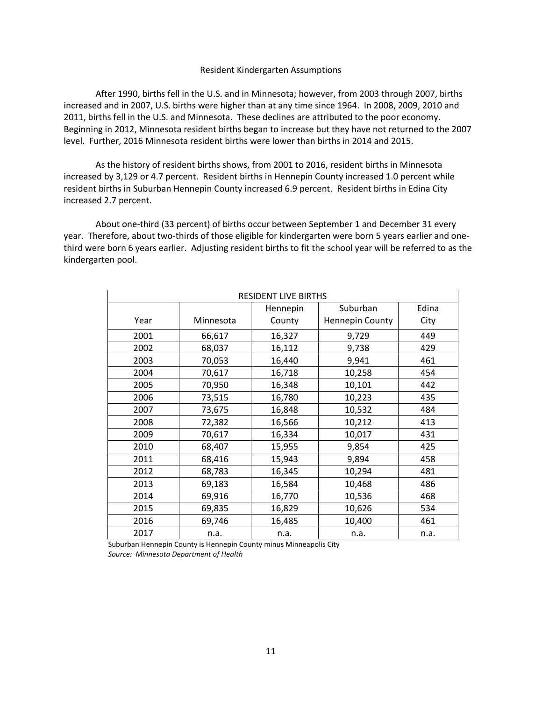#### Resident Kindergarten Assumptions

After 1990, births fell in the U.S. and in Minnesota; however, from 2003 through 2007, births increased and in 2007, U.S. births were higher than at any time since 1964. In 2008, 2009, 2010 and 2011, births fell in the U.S. and Minnesota. These declines are attributed to the poor economy. Beginning in 2012, Minnesota resident births began to increase but they have not returned to the 2007 level. Further, 2016 Minnesota resident births were lower than births in 2014 and 2015.

As the history of resident births shows, from 2001 to 2016, resident births in Minnesota increased by 3,129 or 4.7 percent. Resident births in Hennepin County increased 1.0 percent while resident births in Suburban Hennepin County increased 6.9 percent. Resident births in Edina City increased 2.7 percent.

About one-third (33 percent) of births occur between September 1 and December 31 every year. Therefore, about two-thirds of those eligible for kindergarten were born 5 years earlier and onethird were born 6 years earlier. Adjusting resident births to fit the school year will be referred to as the kindergarten pool.

|      | <b>RESIDENT LIVE BIRTHS</b> |          |                        |       |  |  |  |
|------|-----------------------------|----------|------------------------|-------|--|--|--|
|      |                             | Hennepin | Suburban               | Edina |  |  |  |
| Year | Minnesota                   | County   | <b>Hennepin County</b> | City  |  |  |  |
| 2001 | 66,617                      | 16,327   | 9,729                  | 449   |  |  |  |
| 2002 | 68,037                      | 16,112   | 9,738                  | 429   |  |  |  |
| 2003 | 70,053                      | 16,440   | 9,941                  | 461   |  |  |  |
| 2004 | 70,617                      | 16,718   | 10,258                 | 454   |  |  |  |
| 2005 | 70,950                      | 16,348   | 10,101                 | 442   |  |  |  |
| 2006 | 73,515                      | 16,780   | 10,223                 | 435   |  |  |  |
| 2007 | 73,675                      | 16,848   | 10,532                 | 484   |  |  |  |
| 2008 | 72,382                      | 16,566   | 10,212                 | 413   |  |  |  |
| 2009 | 70,617                      | 16,334   | 10,017                 | 431   |  |  |  |
| 2010 | 68,407                      | 15,955   | 9,854                  | 425   |  |  |  |
| 2011 | 68,416                      | 15,943   | 9,894                  | 458   |  |  |  |
| 2012 | 68,783                      | 16,345   | 10,294                 | 481   |  |  |  |
| 2013 | 69,183                      | 16,584   | 10,468                 | 486   |  |  |  |
| 2014 | 69,916                      | 16,770   | 10,536                 | 468   |  |  |  |
| 2015 | 69,835                      | 16,829   | 10,626                 | 534   |  |  |  |
| 2016 | 69,746                      | 16,485   | 10,400                 | 461   |  |  |  |
| 2017 | n.a.                        | n.a.     | n.a.                   | n.a.  |  |  |  |

 Suburban Hennepin County is Hennepin County minus Minneapolis City  *Source: Minnesota Department of Health*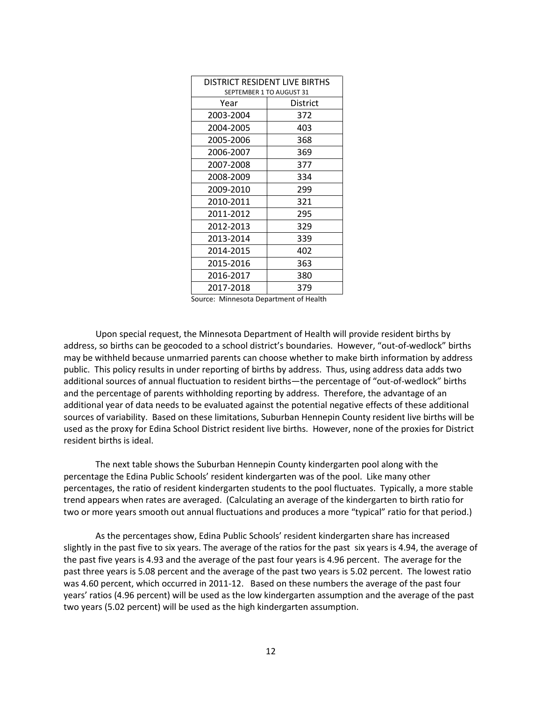| DISTRICT RESIDENT LIVE BIRTHS<br>SEPTEMBER 1 TO AUGUST 31 |          |  |  |  |  |
|-----------------------------------------------------------|----------|--|--|--|--|
| Year                                                      | District |  |  |  |  |
| 2003-2004                                                 | 372      |  |  |  |  |
| 2004-2005                                                 | 403      |  |  |  |  |
| 2005-2006                                                 | 368      |  |  |  |  |
| 2006-2007                                                 | 369      |  |  |  |  |
| 2007-2008                                                 | 377      |  |  |  |  |
| 2008-2009                                                 | 334      |  |  |  |  |
| 2009-2010                                                 | 299      |  |  |  |  |
| 2010-2011                                                 | 321      |  |  |  |  |
| 2011-2012                                                 | 295      |  |  |  |  |
| 2012-2013                                                 | 329      |  |  |  |  |
| 2013-2014                                                 | 339      |  |  |  |  |
| 2014-2015                                                 | 402      |  |  |  |  |
| 2015-2016                                                 | 363      |  |  |  |  |
| 2016-2017                                                 | 380      |  |  |  |  |
| 2017-2018                                                 | 379      |  |  |  |  |

Source: Minnesota Department of Health

Upon special request, the Minnesota Department of Health will provide resident births by address, so births can be geocoded to a school district's boundaries. However, "out-of-wedlock" births may be withheld because unmarried parents can choose whether to make birth information by address public. This policy results in under reporting of births by address. Thus, using address data adds two additional sources of annual fluctuation to resident births—the percentage of "out-of-wedlock" births and the percentage of parents withholding reporting by address. Therefore, the advantage of an additional year of data needs to be evaluated against the potential negative effects of these additional sources of variability. Based on these limitations, Suburban Hennepin County resident live births will be used as the proxy for Edina School District resident live births. However, none of the proxies for District resident births is ideal.

The next table shows the Suburban Hennepin County kindergarten pool along with the percentage the Edina Public Schools' resident kindergarten was of the pool. Like many other percentages, the ratio of resident kindergarten students to the pool fluctuates. Typically, a more stable trend appears when rates are averaged. (Calculating an average of the kindergarten to birth ratio for two or more years smooth out annual fluctuations and produces a more "typical" ratio for that period.)

As the percentages show, Edina Public Schools' resident kindergarten share has increased slightly in the past five to six years. The average of the ratios for the past six years is 4.94, the average of the past five years is 4.93 and the average of the past four years is 4.96 percent. The average for the past three years is 5.08 percent and the average of the past two years is 5.02 percent. The lowest ratio was 4.60 percent, which occurred in 2011-12. Based on these numbers the average of the past four years' ratios (4.96 percent) will be used as the low kindergarten assumption and the average of the past two years (5.02 percent) will be used as the high kindergarten assumption.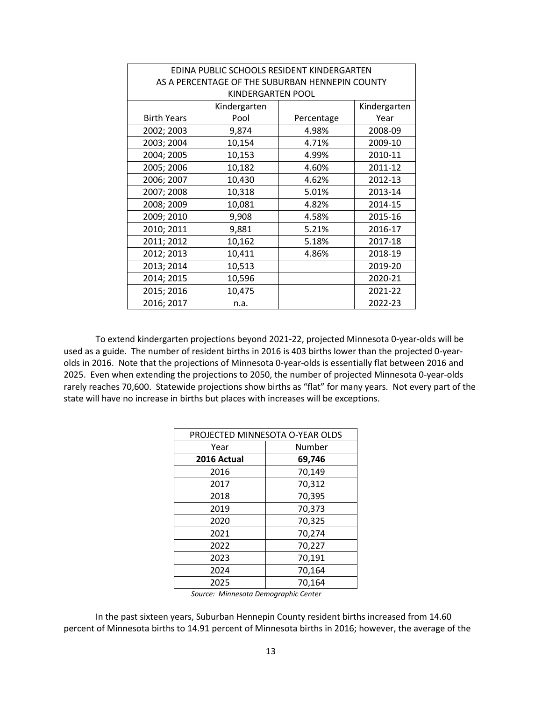| EDINA PUBLIC SCHOOLS RESIDENT KINDERGARTEN      |                   |            |              |  |  |  |  |  |
|-------------------------------------------------|-------------------|------------|--------------|--|--|--|--|--|
| AS A PERCENTAGE OF THE SUBURBAN HENNEPIN COUNTY |                   |            |              |  |  |  |  |  |
|                                                 | KINDERGARTEN POOL |            |              |  |  |  |  |  |
|                                                 | Kindergarten      |            | Kindergarten |  |  |  |  |  |
| <b>Birth Years</b>                              | Pool              | Percentage | Year         |  |  |  |  |  |
| 2002; 2003                                      | 9,874             | 4.98%      | 2008-09      |  |  |  |  |  |
| 2003; 2004                                      | 10,154            | 4.71%      | 2009-10      |  |  |  |  |  |
| 2004; 2005                                      | 10,153            | 4.99%      | 2010-11      |  |  |  |  |  |
| 2005; 2006                                      | 10,182            | 4.60%      | 2011-12      |  |  |  |  |  |
| 2006; 2007                                      | 10,430            | 4.62%      | 2012-13      |  |  |  |  |  |
| 2007; 2008                                      | 10,318            | 5.01%      | 2013-14      |  |  |  |  |  |
| 2008; 2009                                      | 10,081            | 4.82%      | 2014-15      |  |  |  |  |  |
| 2009; 2010                                      | 9,908             | 4.58%      | 2015-16      |  |  |  |  |  |
| 2010; 2011                                      | 9,881             | 5.21%      | 2016-17      |  |  |  |  |  |
| 2011; 2012                                      | 10,162            | 5.18%      | 2017-18      |  |  |  |  |  |
| 2012; 2013                                      | 10,411            | 4.86%      | 2018-19      |  |  |  |  |  |
| 2013; 2014                                      | 10,513            |            | 2019-20      |  |  |  |  |  |
| 2014; 2015                                      | 10,596            |            | 2020-21      |  |  |  |  |  |
| 2015; 2016                                      | 10,475            |            | 2021-22      |  |  |  |  |  |
| 2016; 2017                                      | n.a.              |            | 2022-23      |  |  |  |  |  |

To extend kindergarten projections beyond 2021-22, projected Minnesota 0-year-olds will be used as a guide. The number of resident births in 2016 is 403 births lower than the projected 0-yearolds in 2016. Note that the projections of Minnesota 0-year-olds is essentially flat between 2016 and 2025. Even when extending the projections to 2050, the number of projected Minnesota 0-year-olds rarely reaches 70,600. Statewide projections show births as "flat" for many years. Not every part of the state will have no increase in births but places with increases will be exceptions.

|             | PROJECTED MINNESOTA O-YEAR OLDS |  |  |  |  |  |
|-------------|---------------------------------|--|--|--|--|--|
| Year        | Number                          |  |  |  |  |  |
| 2016 Actual | 69,746                          |  |  |  |  |  |
| 2016        | 70,149                          |  |  |  |  |  |
| 2017        | 70,312                          |  |  |  |  |  |
| 2018        | 70,395                          |  |  |  |  |  |
| 2019        | 70,373                          |  |  |  |  |  |
| 2020        | 70,325                          |  |  |  |  |  |
| 2021        | 70,274                          |  |  |  |  |  |
| 2022        | 70,227                          |  |  |  |  |  |
| 2023        | 70,191                          |  |  |  |  |  |
| 2024        | 70,164                          |  |  |  |  |  |
| 2025        | 70,164                          |  |  |  |  |  |

*Source: Minnesota Demographic Center*

In the past sixteen years, Suburban Hennepin County resident births increased from 14.60 percent of Minnesota births to 14.91 percent of Minnesota births in 2016; however, the average of the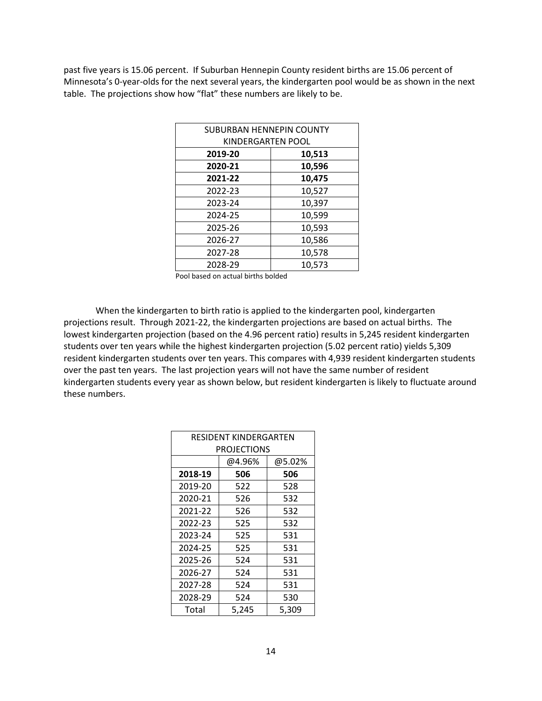past five years is 15.06 percent. If Suburban Hennepin County resident births are 15.06 percent of Minnesota's 0-year-olds for the next several years, the kindergarten pool would be as shown in the next table. The projections show how "flat" these numbers are likely to be.

| SUBURBAN HENNEPIN COUNTY |                   |  |  |  |  |  |
|--------------------------|-------------------|--|--|--|--|--|
|                          | KINDERGARTEN POOL |  |  |  |  |  |
| 2019-20                  | 10,513            |  |  |  |  |  |
| 2020-21                  | 10,596            |  |  |  |  |  |
| 2021-22                  | 10,475            |  |  |  |  |  |
| 2022-23                  | 10,527            |  |  |  |  |  |
| 2023-24                  | 10,397            |  |  |  |  |  |
| 2024-25                  | 10,599            |  |  |  |  |  |
| 2025-26                  | 10,593            |  |  |  |  |  |
| 2026-27                  | 10,586            |  |  |  |  |  |
| 2027-28                  | 10,578            |  |  |  |  |  |
| 2028-29                  | 10,573            |  |  |  |  |  |

Pool based on actual births bolded

When the kindergarten to birth ratio is applied to the kindergarten pool, kindergarten projections result. Through 2021-22, the kindergarten projections are based on actual births. The lowest kindergarten projection (based on the 4.96 percent ratio) results in 5,245 resident kindergarten students over ten years while the highest kindergarten projection (5.02 percent ratio) yields 5,309 resident kindergarten students over ten years. This compares with 4,939 resident kindergarten students over the past ten years. The last projection years will not have the same number of resident kindergarten students every year as shown below, but resident kindergarten is likely to fluctuate around these numbers.

| RESIDENT KINDERGARTEN |                    |       |  |  |  |  |  |  |
|-----------------------|--------------------|-------|--|--|--|--|--|--|
|                       | <b>PROJECTIONS</b> |       |  |  |  |  |  |  |
|                       | @4.96%<br>@5.02%   |       |  |  |  |  |  |  |
| 2018-19               | 506                | 506   |  |  |  |  |  |  |
| 2019-20               | 522                | 528   |  |  |  |  |  |  |
| 2020-21               | 526                | 532   |  |  |  |  |  |  |
| 2021-22               | 526                | 532   |  |  |  |  |  |  |
| 2022-23               | 525                | 532   |  |  |  |  |  |  |
| 2023-24               | 525                | 531   |  |  |  |  |  |  |
| 2024-25               | 525                | 531   |  |  |  |  |  |  |
| 2025-26               | 524                | 531   |  |  |  |  |  |  |
| 2026-27               | 524                | 531   |  |  |  |  |  |  |
| 2027-28               | 524                | 531   |  |  |  |  |  |  |
| 2028-29               | 524                | 530   |  |  |  |  |  |  |
| Total                 | 5,245              | 5,309 |  |  |  |  |  |  |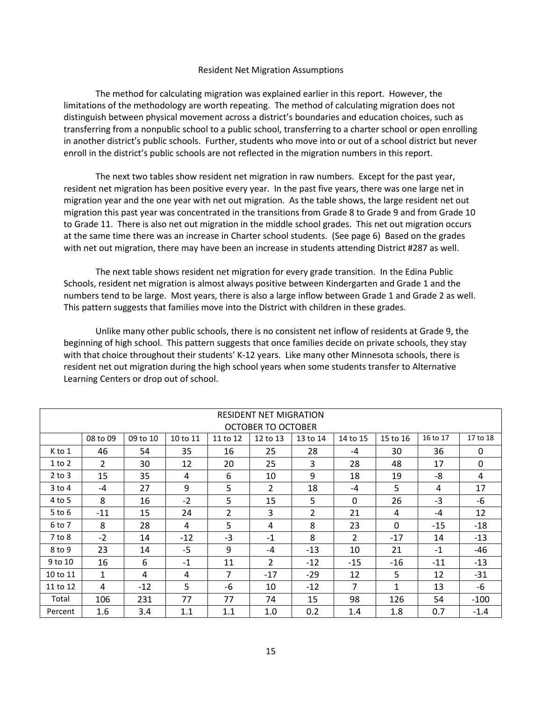#### Resident Net Migration Assumptions

The method for calculating migration was explained earlier in this report. However, the limitations of the methodology are worth repeating. The method of calculating migration does not distinguish between physical movement across a district's boundaries and education choices, such as transferring from a nonpublic school to a public school, transferring to a charter school or open enrolling in another district's public schools. Further, students who move into or out of a school district but never enroll in the district's public schools are not reflected in the migration numbers in this report.

The next two tables show resident net migration in raw numbers. Except for the past year, resident net migration has been positive every year. In the past five years, there was one large net in migration year and the one year with net out migration. As the table shows, the large resident net out migration this past year was concentrated in the transitions from Grade 8 to Grade 9 and from Grade 10 to Grade 11. There is also net out migration in the middle school grades. This net out migration occurs at the same time there was an increase in Charter school students. (See page 6) Based on the grades with net out migration, there may have been an increase in students attending District #287 as well.

The next table shows resident net migration for every grade transition. In the Edina Public Schools, resident net migration is almost always positive between Kindergarten and Grade 1 and the numbers tend to be large. Most years, there is also a large inflow between Grade 1 and Grade 2 as well. This pattern suggests that families move into the District with children in these grades.

Unlike many other public schools, there is no consistent net inflow of residents at Grade 9, the beginning of high school. This pattern suggests that once families decide on private schools, they stay with that choice throughout their students' K-12 years. Like many other Minnesota schools, there is resident net out migration during the high school years when some students transfer to Alternative Learning Centers or drop out of school.

|                    | <b>RESIDENT NET MIGRATION</b> |          |          |                |                |                |                |              |          |              |
|--------------------|-------------------------------|----------|----------|----------------|----------------|----------------|----------------|--------------|----------|--------------|
| OCTOBER TO OCTOBER |                               |          |          |                |                |                |                |              |          |              |
|                    | 08 to 09                      | 09 to 10 | 10 to 11 | 11 to 12       | 12 to 13       | 13 to 14       | 14 to 15       | 15 to 16     | 16 to 17 | 17 to 18     |
| K to 1             | 46                            | 54       | 35       | 16             | 25             | 28             | -4             | 30           | 36       | 0            |
| 1 to 2             | $\mathcal{P}$                 | 30       | 12       | 20             | 25             | 3              | 28             | 48           | 17       | $\mathbf{0}$ |
| $2$ to $3$         | 15                            | 35       | 4        | 6              | 10             | 9              | 18             | 19           | -8       | 4            |
| $3$ to $4$         | $-4$                          | 27       | 9        | $5\phantom{.}$ | 2              | 18             | -4             | 5            | 4        | 17           |
| 4 to 5             | 8                             | 16       | $-2$     | 5              | 15             | 5              | $\mathbf{0}$   | 26           | $-3$     | -6           |
| $5$ to $6$         | $-11$                         | 15       | 24       | $\overline{2}$ | 3              | $\overline{2}$ | 21             | 4            | $-4$     | 12           |
| 6 to 7             | 8                             | 28       | 4        | 5              | 4              | 8              | 23             | $\mathbf{0}$ | $-15$    | $-18$        |
| $7$ to $8$         | $-2$                          | 14       | $-12$    | -3             | $-1$           | 8              | $\overline{2}$ | $-17$        | 14       | $-13$        |
| 8 to 9             | 23                            | 14       | $-5$     | 9              | $-4$           | $-13$          | 10             | 21           | $-1$     | $-46$        |
| 9 to 10            | 16                            | 6        | $-1$     | 11             | $\overline{2}$ | $-12$          | $-15$          | $-16$        | $-11$    | $-13$        |
| 10 to 11           | $\mathbf{1}$                  | 4        | 4        | 7              | $-17$          | $-29$          | 12             | 5            | 12       | $-31$        |
| 11 to 12           | 4                             | $-12$    | 5        | -6             | 10             | $-12$          | $\overline{7}$ | 1            | 13       | -6           |
| Total              | 106                           | 231      | 77       | 77             | 74             | 15             | 98             | 126          | 54       | $-100$       |
| Percent            | 1.6                           | 3.4      | 1.1      | 1.1            | 1.0            | 0.2            | 1.4            | 1.8          | 0.7      | $-1.4$       |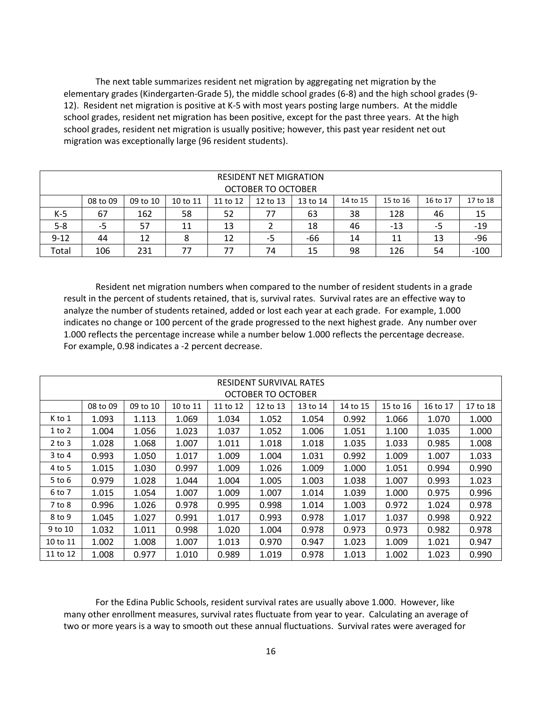The next table summarizes resident net migration by aggregating net migration by the elementary grades (Kindergarten-Grade 5), the middle school grades (6-8) and the high school grades (9- 12). Resident net migration is positive at K-5 with most years posting large numbers. At the middle school grades, resident net migration has been positive, except for the past three years. At the high school grades, resident net migration is usually positive; however, this past year resident net out migration was exceptionally large (96 resident students).

|          | <b>RESIDENT NET MIGRATION</b><br><b>OCTOBER TO OCTOBER</b>                                                           |     |    |    |    |    |    |     |    |        |
|----------|----------------------------------------------------------------------------------------------------------------------|-----|----|----|----|----|----|-----|----|--------|
|          | 17 to 18<br>14 to 15<br>16 to 17<br>08 to 09<br>10 to 11<br>11 to 12<br>12 to 13<br>15 to 16<br>09 to 10<br>13 to 14 |     |    |    |    |    |    |     |    |        |
| K-5      | 67                                                                                                                   | 162 | 58 | 52 | 77 | 63 | 38 | 128 | 46 | 15     |
| $5 - 8$  | $-19$<br>13<br>-5<br>18<br>-13<br>46<br>11<br>57<br>-5                                                               |     |    |    |    |    |    |     |    |        |
| $9 - 12$ | -96<br>-66<br>8<br>12<br>13<br>44<br>12<br>11<br>14<br>-5                                                            |     |    |    |    |    |    |     |    |        |
| Total    | 106                                                                                                                  | 231 | 77 | 77 | 74 | 15 | 98 | 126 | 54 | $-100$ |

Resident net migration numbers when compared to the number of resident students in a grade result in the percent of students retained, that is, survival rates. Survival rates are an effective way to analyze the number of students retained, added or lost each year at each grade. For example, 1.000 indicates no change or 100 percent of the grade progressed to the next highest grade. Any number over 1.000 reflects the percentage increase while a number below 1.000 reflects the percentage decrease. For example, 0.98 indicates a -2 percent decrease.

|            | <b>RESIDENT SURVIVAL RATES</b><br>OCTOBER TO OCTOBER                                                     |       |       |       |       |       |       |       |          |       |
|------------|----------------------------------------------------------------------------------------------------------|-------|-------|-------|-------|-------|-------|-------|----------|-------|
|            | 08 to 09<br>15 to 16<br>16 to 17<br>09 to 10<br>10 to 11<br>12 to 13<br>13 to 14<br>14 to 15<br>11 to 12 |       |       |       |       |       |       |       | 17 to 18 |       |
| K to 1     | 1.093                                                                                                    | 1.113 | 1.069 | 1.034 | 1.052 | 1.054 | 0.992 | 1.066 | 1.070    | 1.000 |
| 1 to 2     | 1.004                                                                                                    | 1.056 | 1.023 | 1.037 | 1.052 | 1.006 | 1.051 | 1.100 | 1.035    | 1.000 |
| $2$ to $3$ | 1.028                                                                                                    | 1.068 | 1.007 | 1.011 | 1.018 | 1.018 | 1.035 | 1.033 | 0.985    | 1.008 |
| 3 to 4     | 0.993                                                                                                    | 1.050 | 1.017 | 1.009 | 1.004 | 1.031 | 0.992 | 1.009 | 1.007    | 1.033 |
| 4 to 5     | 1.015                                                                                                    | 1.030 | 0.997 | 1.009 | 1.026 | 1.009 | 1.000 | 1.051 | 0.994    | 0.990 |
| 5 to 6     | 0.979                                                                                                    | 1.028 | 1.044 | 1.004 | 1.005 | 1.003 | 1.038 | 1.007 | 0.993    | 1.023 |
| 6 to 7     | 1.015                                                                                                    | 1.054 | 1.007 | 1.009 | 1.007 | 1.014 | 1.039 | 1.000 | 0.975    | 0.996 |
| 7 to 8     | 0.996                                                                                                    | 1.026 | 0.978 | 0.995 | 0.998 | 1.014 | 1.003 | 0.972 | 1.024    | 0.978 |
| 8 to 9     | 1.045                                                                                                    | 1.027 | 0.991 | 1.017 | 0.993 | 0.978 | 1.017 | 1.037 | 0.998    | 0.922 |
| 9 to 10    | 1.032                                                                                                    | 1.011 | 0.998 | 1.020 | 1.004 | 0.978 | 0.973 | 0.973 | 0.982    | 0.978 |
| 10 to 11   | 1.002                                                                                                    | 1.008 | 1.007 | 1.013 | 0.970 | 0.947 | 1.023 | 1.009 | 1.021    | 0.947 |
| 11 to 12   | 1.008                                                                                                    | 0.977 | 1.010 | 0.989 | 1.019 | 0.978 | 1.013 | 1.002 | 1.023    | 0.990 |

For the Edina Public Schools, resident survival rates are usually above 1.000. However, like many other enrollment measures, survival rates fluctuate from year to year. Calculating an average of two or more years is a way to smooth out these annual fluctuations. Survival rates were averaged for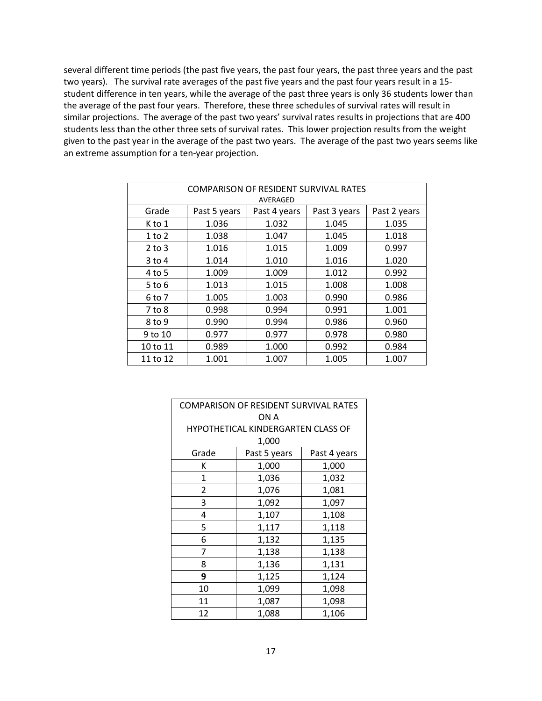several different time periods (the past five years, the past four years, the past three years and the past two years). The survival rate averages of the past five years and the past four years result in a 15 student difference in ten years, while the average of the past three years is only 36 students lower than the average of the past four years. Therefore, these three schedules of survival rates will result in similar projections. The average of the past two years' survival rates results in projections that are 400 students less than the other three sets of survival rates. This lower projection results from the weight given to the past year in the average of the past two years. The average of the past two years seems like an extreme assumption for a ten-year projection.

| COMPARISON OF RESIDENT SURVIVAL RATES |              |              |              |              |  |  |  |  |  |
|---------------------------------------|--------------|--------------|--------------|--------------|--|--|--|--|--|
| AVERAGED                              |              |              |              |              |  |  |  |  |  |
| Grade                                 | Past 5 years | Past 4 years | Past 3 years | Past 2 years |  |  |  |  |  |
| K to 1                                | 1.036        | 1.032        | 1.045        | 1.035        |  |  |  |  |  |
| $1$ to $2$                            | 1.038        | 1.047        | 1.045        | 1.018        |  |  |  |  |  |
| $2$ to $3$                            | 1.016        | 1.015        | 1.009        | 0.997        |  |  |  |  |  |
| $3$ to 4                              | 1.014        | 1.010        | 1.016        | 1.020        |  |  |  |  |  |
| 4 to 5                                | 1.009        | 1.009        | 1.012        | 0.992        |  |  |  |  |  |
| $5$ to $6$                            | 1.013        | 1.015        | 1.008        | 1.008        |  |  |  |  |  |
| 6 to 7                                | 1.005        | 1.003        | 0.990        | 0.986        |  |  |  |  |  |
| $7$ to $8$                            | 0.998        | 0.994        | 0.991        | 1.001        |  |  |  |  |  |
| 8 to 9                                | 0.990        | 0.994        | 0.986        | 0.960        |  |  |  |  |  |
| 9 to 10                               | 0.977        | 0.977        | 0.978        | 0.980        |  |  |  |  |  |
| 10 to 11                              | 0.989        | 1.000        | 0.992        | 0.984        |  |  |  |  |  |
| 11 to 12                              | 1.001        | 1.007        | 1.005        | 1.007        |  |  |  |  |  |

| COMPARISON OF RESIDENT SURVIVAL RATES |                                    |              |  |  |  |  |  |
|---------------------------------------|------------------------------------|--------------|--|--|--|--|--|
| ON A                                  |                                    |              |  |  |  |  |  |
|                                       | HYPOTHETICAL KINDERGARTEN CLASS OF |              |  |  |  |  |  |
|                                       | 1,000                              |              |  |  |  |  |  |
| Grade                                 | Past 5 years                       | Past 4 years |  |  |  |  |  |
| ĸ                                     | 1,000                              | 1,000        |  |  |  |  |  |
| 1                                     | 1,036                              | 1,032        |  |  |  |  |  |
| 2                                     | 1,076                              | 1,081        |  |  |  |  |  |
| 3                                     | 1,092                              |              |  |  |  |  |  |
| 4                                     | 1,107                              | 1,108        |  |  |  |  |  |
| 5                                     | 1,117                              | 1,118        |  |  |  |  |  |
| 6                                     | 1,132                              | 1,135        |  |  |  |  |  |
| 7                                     | 1,138                              | 1,138        |  |  |  |  |  |
| 8                                     | 1,136                              | 1,131        |  |  |  |  |  |
| 9                                     | 1,125                              | 1,124        |  |  |  |  |  |
| 10                                    | 1,099                              | 1,098        |  |  |  |  |  |
| 11                                    | 1,087<br>1,098                     |              |  |  |  |  |  |
| 12                                    | 1,088                              | 1,106        |  |  |  |  |  |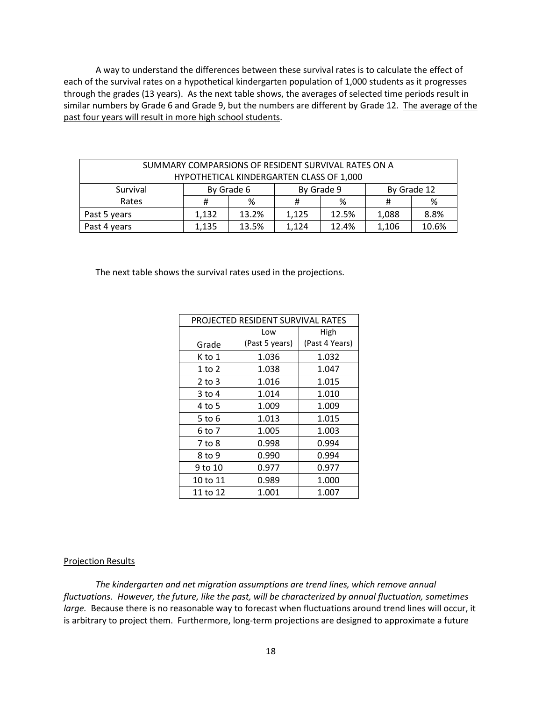A way to understand the differences between these survival rates is to calculate the effect of each of the survival rates on a hypothetical kindergarten population of 1,000 students as it progresses through the grades (13 years). As the next table shows, the averages of selected time periods result in similar numbers by Grade 6 and Grade 9, but the numbers are different by Grade 12. The average of the past four years will result in more high school students.

| SUMMARY COMPARSIONS OF RESIDENT SURVIVAL RATES ON A |                                                    |                          |       |       |       |             |  |  |  |
|-----------------------------------------------------|----------------------------------------------------|--------------------------|-------|-------|-------|-------------|--|--|--|
| HYPOTHETICAL KINDERGARTEN CLASS OF 1,000            |                                                    |                          |       |       |       |             |  |  |  |
| Survival                                            |                                                    | By Grade 9<br>By Grade 6 |       |       |       | By Grade 12 |  |  |  |
| Rates                                               |                                                    | %                        |       | %     |       | %           |  |  |  |
| Past 5 years                                        | 13.2%<br>1.132                                     |                          | 1.125 | 12.5% | 1,088 | 8.8%        |  |  |  |
| Past 4 years                                        | 10.6%<br>13.5%<br>12.4%<br>1,135<br>1,124<br>1,106 |                          |       |       |       |             |  |  |  |

The next table shows the survival rates used in the projections.

| PROJECTED RESIDENT SURVIVAL RATES |                |                |  |  |  |  |  |
|-----------------------------------|----------------|----------------|--|--|--|--|--|
|                                   | Low            | High           |  |  |  |  |  |
| Grade                             | (Past 5 years) | (Past 4 Years) |  |  |  |  |  |
| K to 1                            | 1.036          | 1.032          |  |  |  |  |  |
| 1 to 2                            | 1.038          | 1.047          |  |  |  |  |  |
| $2$ to $3$                        | 1.016          | 1.015          |  |  |  |  |  |
| 3 to 4                            | 1.014          | 1.010          |  |  |  |  |  |
| 4 to 5                            | 1.009          | 1.009          |  |  |  |  |  |
| 5 to 6                            | 1.013          | 1.015          |  |  |  |  |  |
| 6 to 7                            | 1.005          | 1.003          |  |  |  |  |  |
| 7 to 8                            | 0.998          | 0.994          |  |  |  |  |  |
| 8 to 9                            | 0.990          | 0.994          |  |  |  |  |  |
| 9 to 10                           | 0.977          | 0.977          |  |  |  |  |  |
| 10 to 11                          | 0.989          | 1.000          |  |  |  |  |  |
| 11 to 12                          | 1.001          | 1.007          |  |  |  |  |  |

#### Projection Results

*The kindergarten and net migration assumptions are trend lines, which remove annual fluctuations. However, the future, like the past, will be characterized by annual fluctuation, sometimes large.* Because there is no reasonable way to forecast when fluctuations around trend lines will occur, it is arbitrary to project them. Furthermore, long-term projections are designed to approximate a future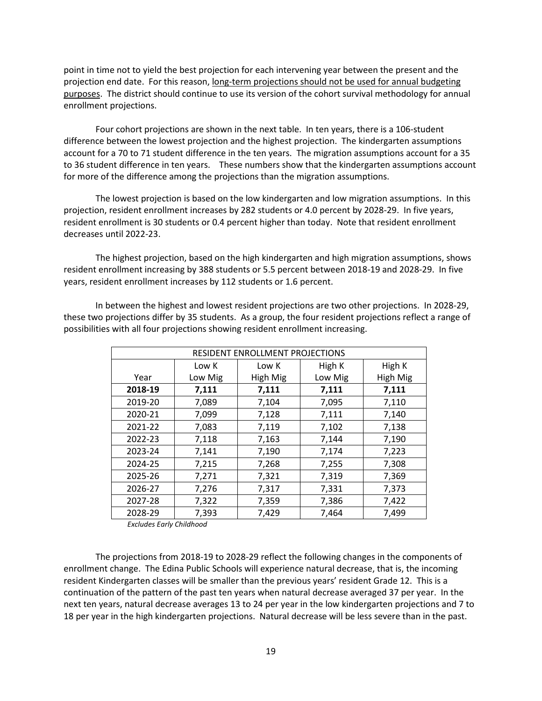point in time not to yield the best projection for each intervening year between the present and the projection end date. For this reason, long-term projections should not be used for annual budgeting purposes. The district should continue to use its version of the cohort survival methodology for annual enrollment projections.

Four cohort projections are shown in the next table. In ten years, there is a 106-student difference between the lowest projection and the highest projection. The kindergarten assumptions account for a 70 to 71 student difference in the ten years. The migration assumptions account for a 35 to 36 student difference in ten years. These numbers show that the kindergarten assumptions account for more of the difference among the projections than the migration assumptions.

The lowest projection is based on the low kindergarten and low migration assumptions. In this projection, resident enrollment increases by 282 students or 4.0 percent by 2028-29. In five years, resident enrollment is 30 students or 0.4 percent higher than today. Note that resident enrollment decreases until 2022-23.

The highest projection, based on the high kindergarten and high migration assumptions, shows resident enrollment increasing by 388 students or 5.5 percent between 2018-19 and 2028-29. In five years, resident enrollment increases by 112 students or 1.6 percent.

In between the highest and lowest resident projections are two other projections. In 2028-29, these two projections differ by 35 students. As a group, the four resident projections reflect a range of possibilities with all four projections showing resident enrollment increasing.

| <b>RESIDENT ENROLLMENT PROJECTIONS</b> |         |          |         |          |  |  |  |  |
|----------------------------------------|---------|----------|---------|----------|--|--|--|--|
|                                        | Low K   | Low K    | High K  | High K   |  |  |  |  |
| Year                                   | Low Mig | High Mig | Low Mig | High Mig |  |  |  |  |
| 2018-19                                | 7,111   | 7,111    | 7,111   | 7,111    |  |  |  |  |
| 2019-20                                | 7,089   | 7,104    | 7,095   | 7,110    |  |  |  |  |
| 2020-21                                | 7,099   | 7,128    | 7,111   | 7,140    |  |  |  |  |
| 2021-22                                | 7,083   | 7,119    | 7,102   | 7,138    |  |  |  |  |
| 2022-23                                | 7,118   | 7,163    | 7,144   | 7,190    |  |  |  |  |
| 2023-24                                | 7,141   | 7,190    | 7,174   | 7,223    |  |  |  |  |
| 2024-25                                | 7,215   | 7,268    | 7,255   | 7,308    |  |  |  |  |
| 2025-26                                | 7,271   | 7,321    | 7,319   | 7,369    |  |  |  |  |
| 2026-27                                | 7,276   | 7,317    | 7,331   | 7,373    |  |  |  |  |
| 2027-28                                | 7,322   | 7,359    | 7,386   | 7,422    |  |  |  |  |
| 2028-29                                | 7,393   | 7,429    | 7,464   | 7,499    |  |  |  |  |

*Excludes Early Childhood*

The projections from 2018-19 to 2028-29 reflect the following changes in the components of enrollment change. The Edina Public Schools will experience natural decrease, that is, the incoming resident Kindergarten classes will be smaller than the previous years' resident Grade 12. This is a continuation of the pattern of the past ten years when natural decrease averaged 37 per year. In the next ten years, natural decrease averages 13 to 24 per year in the low kindergarten projections and 7 to 18 per year in the high kindergarten projections. Natural decrease will be less severe than in the past.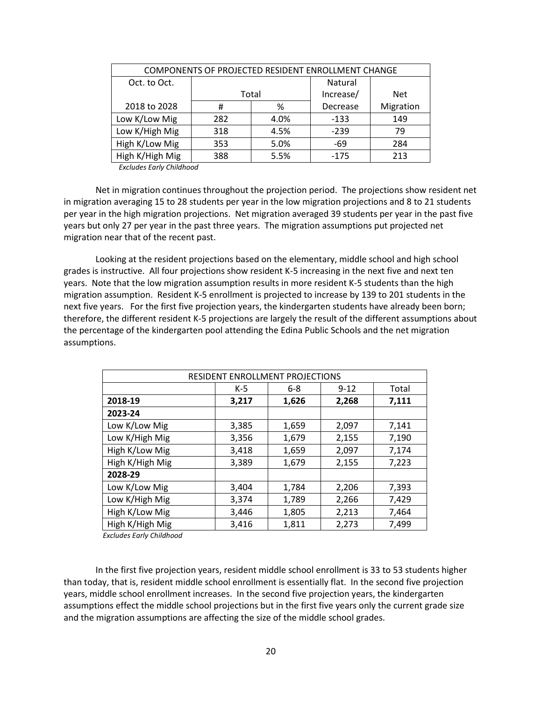| COMPONENTS OF PROJECTED RESIDENT ENROLLMENT CHANGE |     |       |           |           |  |  |  |
|----------------------------------------------------|-----|-------|-----------|-----------|--|--|--|
| Oct. to Oct.                                       |     |       | Natural   |           |  |  |  |
|                                                    |     | Total | Increase/ | Net       |  |  |  |
| 2018 to 2028                                       | #   | %     | Decrease  | Migration |  |  |  |
| Low K/Low Mig                                      | 282 | 4.0%  | $-133$    | 149       |  |  |  |
| Low K/High Mig                                     | 318 | 4.5%  | $-239$    | 79        |  |  |  |
| High K/Low Mig                                     | 353 | 5.0%  | -69       | 284       |  |  |  |
| High K/High Mig                                    | 388 | 5.5%  | $-175$    | 213       |  |  |  |

*Excludes Early Childhood*

Net in migration continues throughout the projection period. The projections show resident net in migration averaging 15 to 28 students per year in the low migration projections and 8 to 21 students per year in the high migration projections. Net migration averaged 39 students per year in the past five years but only 27 per year in the past three years. The migration assumptions put projected net migration near that of the recent past.

Looking at the resident projections based on the elementary, middle school and high school grades is instructive. All four projections show resident K-5 increasing in the next five and next ten years. Note that the low migration assumption results in more resident K-5 students than the high migration assumption. Resident K-5 enrollment is projected to increase by 139 to 201 students in the next five years. For the first five projection years, the kindergarten students have already been born; therefore, the different resident K-5 projections are largely the result of the different assumptions about the percentage of the kindergarten pool attending the Edina Public Schools and the net migration assumptions.

| RESIDENT ENROLLMENT PROJECTIONS |       |         |          |       |  |  |  |  |
|---------------------------------|-------|---------|----------|-------|--|--|--|--|
|                                 | $K-5$ | $6 - 8$ | $9 - 12$ | Total |  |  |  |  |
| 2018-19                         | 3,217 | 1,626   | 2,268    | 7,111 |  |  |  |  |
| 2023-24                         |       |         |          |       |  |  |  |  |
| Low K/Low Mig                   | 3,385 | 1,659   | 2,097    | 7,141 |  |  |  |  |
| Low K/High Mig                  | 3,356 | 1,679   | 2,155    | 7,190 |  |  |  |  |
| High K/Low Mig                  | 3,418 | 1,659   | 2,097    | 7,174 |  |  |  |  |
| High K/High Mig                 | 3,389 | 1,679   | 2,155    | 7,223 |  |  |  |  |
| 2028-29                         |       |         |          |       |  |  |  |  |
| Low K/Low Mig                   | 3,404 | 1,784   | 2,206    | 7,393 |  |  |  |  |
| Low K/High Mig                  | 3,374 | 1,789   | 2,266    | 7,429 |  |  |  |  |
| High K/Low Mig                  | 3,446 | 1,805   | 2,213    | 7,464 |  |  |  |  |
| High K/High Mig                 | 3,416 | 1,811   | 2,273    | 7,499 |  |  |  |  |

 *Excludes Early Childhood*

In the first five projection years, resident middle school enrollment is 33 to 53 students higher than today, that is, resident middle school enrollment is essentially flat. In the second five projection years, middle school enrollment increases. In the second five projection years, the kindergarten assumptions effect the middle school projections but in the first five years only the current grade size and the migration assumptions are affecting the size of the middle school grades.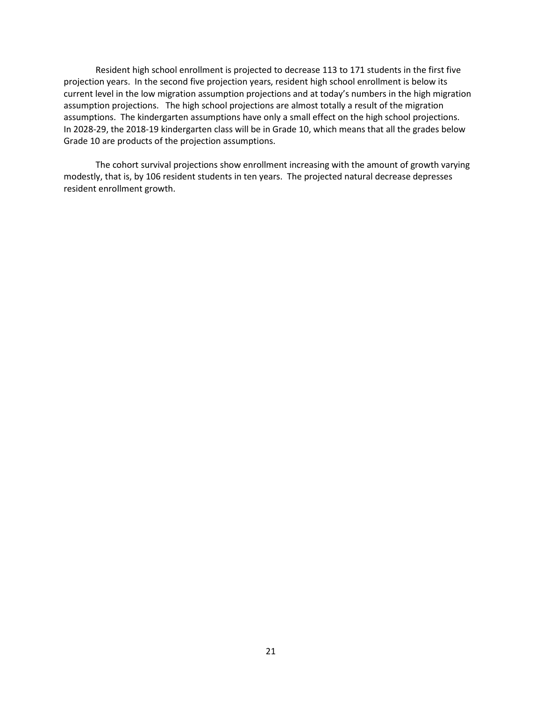Resident high school enrollment is projected to decrease 113 to 171 students in the first five projection years. In the second five projection years, resident high school enrollment is below its current level in the low migration assumption projections and at today's numbers in the high migration assumption projections. The high school projections are almost totally a result of the migration assumptions. The kindergarten assumptions have only a small effect on the high school projections. In 2028-29, the 2018-19 kindergarten class will be in Grade 10, which means that all the grades below Grade 10 are products of the projection assumptions.

The cohort survival projections show enrollment increasing with the amount of growth varying modestly, that is, by 106 resident students in ten years. The projected natural decrease depresses resident enrollment growth.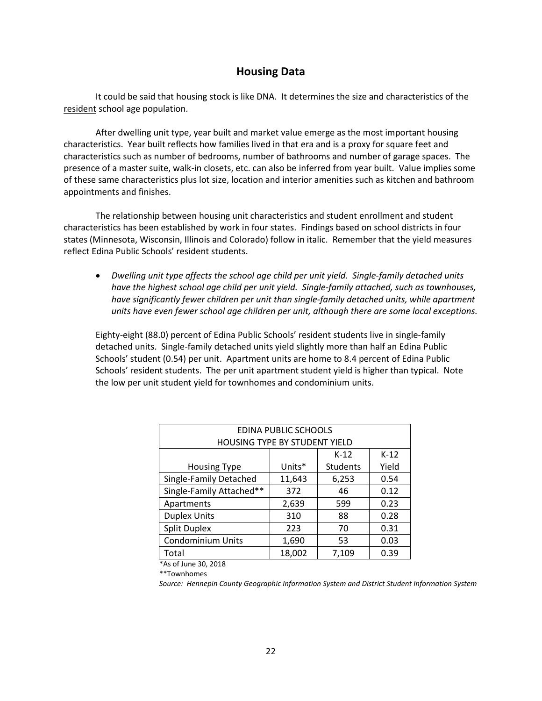## **Housing Data**

It could be said that housing stock is like DNA. It determines the size and characteristics of the resident school age population.

After dwelling unit type, year built and market value emerge as the most important housing characteristics. Year built reflects how families lived in that era and is a proxy for square feet and characteristics such as number of bedrooms, number of bathrooms and number of garage spaces. The presence of a master suite, walk-in closets, etc. can also be inferred from year built. Value implies some of these same characteristics plus lot size, location and interior amenities such as kitchen and bathroom appointments and finishes.

The relationship between housing unit characteristics and student enrollment and student characteristics has been established by work in four states. Findings based on school districts in four states (Minnesota, Wisconsin, Illinois and Colorado) follow in italic. Remember that the yield measures reflect Edina Public Schools' resident students.

• *Dwelling unit type affects the school age child per unit yield. Single-family detached units have the highest school age child per unit yield. Single-family attached, such as townhouses, have significantly fewer children per unit than single-family detached units, while apartment units have even fewer school age children per unit, although there are some local exceptions.* 

Eighty-eight (88.0) percent of Edina Public Schools' resident students live in single-family detached units. Single-family detached units yield slightly more than half an Edina Public Schools' student (0.54) per unit. Apartment units are home to 8.4 percent of Edina Public Schools' resident students. The per unit apartment student yield is higher than typical. Note the low per unit student yield for townhomes and condominium units.

| <b>EDINA PUBLIC SCHOOLS</b>                     |        |                 |        |  |  |  |  |
|-------------------------------------------------|--------|-----------------|--------|--|--|--|--|
| HOUSING TYPE BY STUDENT YIELD                   |        |                 |        |  |  |  |  |
|                                                 |        | $K-12$          | $K-12$ |  |  |  |  |
| <b>Housing Type</b>                             | Units* | <b>Students</b> | Yield  |  |  |  |  |
| Single-Family Detached                          | 11,643 | 6,253           | 0.54   |  |  |  |  |
| Single-Family Attached**                        | 46     | 0.12            |        |  |  |  |  |
| Apartments                                      | 2,639  | 599             | 0.23   |  |  |  |  |
| <b>Duplex Units</b>                             | 310    | 88              | 0.28   |  |  |  |  |
| <b>Split Duplex</b>                             | 223    | 70              | 0.31   |  |  |  |  |
| <b>Condominium Units</b><br>1,690<br>53<br>0.03 |        |                 |        |  |  |  |  |
| Total                                           | 18,002 | 7,109           | 0.39   |  |  |  |  |

\*As of June 30, 2018

\*\*Townhomes

*Source: Hennepin County Geographic Information System and District Student Information System*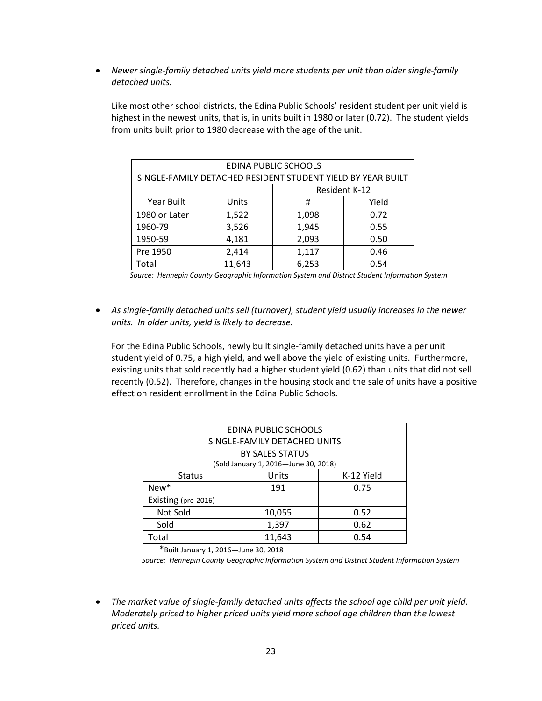• *Newer single-family detached units yield more students per unit than older single-family detached units.* 

| <b>EDINA PUBLIC SCHOOLS</b> |                                                             |       |       |  |  |  |  |
|-----------------------------|-------------------------------------------------------------|-------|-------|--|--|--|--|
|                             | SINGLE-FAMILY DETACHED RESIDENT STUDENT YIELD BY YEAR BUILT |       |       |  |  |  |  |
|                             | Resident K-12                                               |       |       |  |  |  |  |
| Year Built                  | Units                                                       | Ħ     | Yield |  |  |  |  |
| 1980 or Later               | 1,522                                                       | 1,098 | 0.72  |  |  |  |  |
| 1960-79                     | 3,526                                                       | 1,945 | 0.55  |  |  |  |  |
| 1950-59                     | 4,181                                                       | 2,093 | 0.50  |  |  |  |  |
| Pre 1950                    | 2,414                                                       | 1,117 | 0.46  |  |  |  |  |
| Total                       | 11,643                                                      | 6,253 | 0.54  |  |  |  |  |

Like most other school districts, the Edina Public Schools' resident student per unit yield is highest in the newest units, that is, in units built in 1980 or later (0.72). The student yields from units built prior to 1980 decrease with the age of the unit.

• *As single-family detached units sell (turnover), student yield usually increases in the newer units. In older units, yield is likely to decrease.* 

For the Edina Public Schools, newly built single-family detached units have a per unit student yield of 0.75, a high yield, and well above the yield of existing units. Furthermore, existing units that sold recently had a higher student yield (0.62) than units that did not sell recently (0.52). Therefore, changes in the housing stock and the sale of units have a positive effect on resident enrollment in the Edina Public Schools.

| EDINA PUBLIC SCHOOLS  |                                      |      |  |  |  |  |  |  |
|-----------------------|--------------------------------------|------|--|--|--|--|--|--|
|                       | SINGLE-FAMILY DETACHED UNITS         |      |  |  |  |  |  |  |
|                       | <b>BY SALES STATUS</b>               |      |  |  |  |  |  |  |
|                       | (Sold January 1, 2016-June 30, 2018) |      |  |  |  |  |  |  |
| <b>Status</b>         | Units<br>K-12 Yield                  |      |  |  |  |  |  |  |
| New*<br>191<br>0.75   |                                      |      |  |  |  |  |  |  |
| Existing (pre-2016)   |                                      |      |  |  |  |  |  |  |
| Not Sold              | 10,055                               | 0.52 |  |  |  |  |  |  |
| Sold<br>1,397<br>0.62 |                                      |      |  |  |  |  |  |  |
| Гоtal                 | 11,643                               | 0.54 |  |  |  |  |  |  |

\*Built January 1, 2016—June 30, 2018

*Source: Hennepin County Geographic Information System and District Student Information System*

• *The market value of single-family detached units affects the school age child per unit yield. Moderately priced to higher priced units yield more school age children than the lowest priced units.* 

*Source: Hennepin County Geographic Information System and District Student Information System*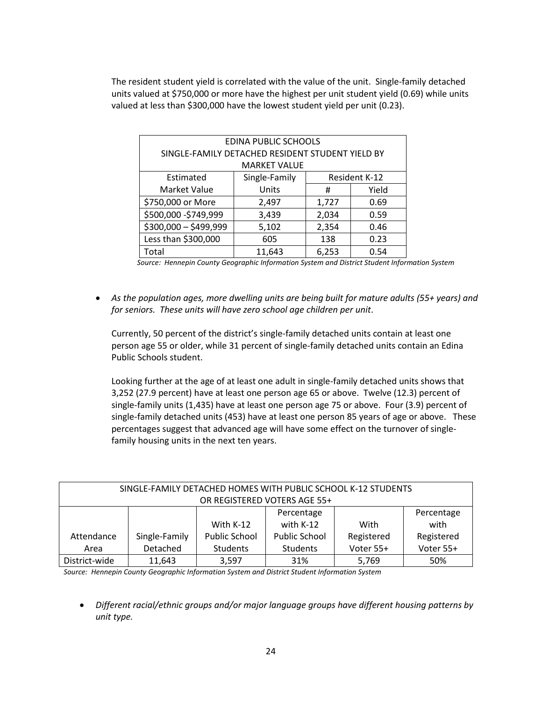The resident student yield is correlated with the value of the unit. Single-family detached units valued at \$750,000 or more have the highest per unit student yield (0.69) while units valued at less than \$300,000 have the lowest student yield per unit (0.23).

| EDINA PUBLIC SCHOOLS                             |                     |       |               |  |  |  |  |
|--------------------------------------------------|---------------------|-------|---------------|--|--|--|--|
| SINGLE-FAMILY DETACHED RESIDENT STUDENT YIELD BY |                     |       |               |  |  |  |  |
|                                                  | <b>MARKET VALUE</b> |       |               |  |  |  |  |
| Estimated                                        | Single-Family       |       | Resident K-12 |  |  |  |  |
| Market Value                                     | Units               | #     | Yield         |  |  |  |  |
| \$750,000 or More                                | 2,497               | 1,727 | 0.69          |  |  |  |  |
| \$500,000 - \$749,999                            | 3,439               | 2,034 | 0.59          |  |  |  |  |
| \$300,000 - \$499,999<br>5,102<br>2,354<br>0.46  |                     |       |               |  |  |  |  |
| Less than \$300,000<br>605<br>138<br>0.23        |                     |       |               |  |  |  |  |
| Total                                            | 11,643              | 6,253 | 0.54          |  |  |  |  |

*Source: Hennepin County Geographic Information System and District Student Information System*

• *As the population ages, more dwelling units are being built for mature adults (55+ years) and for seniors. These units will have zero school age children per unit*.

Currently, 50 percent of the district's single-family detached units contain at least one person age 55 or older, while 31 percent of single-family detached units contain an Edina Public Schools student.

Looking further at the age of at least one adult in single-family detached units shows that 3,252 (27.9 percent) have at least one person age 65 or above. Twelve (12.3) percent of single-family units (1,435) have at least one person age 75 or above. Four (3.9) percent of single-family detached units (453) have at least one person 85 years of age or above. These percentages suggest that advanced age will have some effect on the turnover of singlefamily housing units in the next ten years.

| SINGLE-FAMILY DETACHED HOMES WITH PUBLIC SCHOOL K-12 STUDENTS |                              |                      |                      |            |            |  |  |  |  |
|---------------------------------------------------------------|------------------------------|----------------------|----------------------|------------|------------|--|--|--|--|
|                                                               | OR REGISTERED VOTERS AGE 55+ |                      |                      |            |            |  |  |  |  |
|                                                               |                              |                      | Percentage           |            | Percentage |  |  |  |  |
|                                                               |                              | With $K-12$          | with K-12            | With       | with       |  |  |  |  |
| Attendance                                                    | Single-Family                | <b>Public School</b> | <b>Public School</b> | Registered | Registered |  |  |  |  |
| Area                                                          | Detached                     | Students             | Students             | Voter 55+  | Voter 55+  |  |  |  |  |
| District-wide                                                 | 11,643                       | 3,597                | 31%                  | 5,769      | 50%        |  |  |  |  |

*Source: Hennepin County Geographic Information System and District Student Information System*

• *Different racial/ethnic groups and/or major language groups have different housing patterns by unit type.*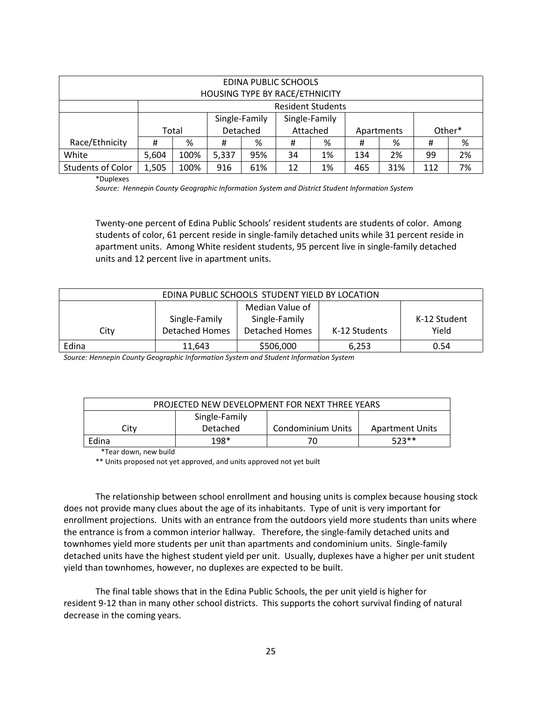| EDINA PUBLIC SCHOOLS<br>HOUSING TYPE BY RACE/ETHNICITY |       |       |       |                                |    |                          |     |            |        |    |
|--------------------------------------------------------|-------|-------|-------|--------------------------------|----|--------------------------|-----|------------|--------|----|
|                                                        |       |       |       |                                |    | <b>Resident Students</b> |     |            |        |    |
|                                                        |       |       |       | Single-Family<br>Single-Family |    |                          |     |            |        |    |
|                                                        |       | Total |       | Detached<br>Attached           |    |                          |     | Apartments | Other* |    |
| Race/Ethnicity                                         | #     | %     | #     | %                              | Ħ  | %                        | #   | %          | #      | %  |
| White                                                  | 5,604 | 100%  | 5,337 | 95%                            | 34 | 1%                       | 134 | 2%         | 99     | 2% |
| <b>Students of Color</b>                               | 1,505 | 100%  | 916   | 61%                            | 12 | 1%                       | 465 | 31%        | 112    | 7% |

\*Duplexes

*Source: Hennepin County Geographic Information System and District Student Information System*

Twenty-one percent of Edina Public Schools' resident students are students of color. Among students of color, 61 percent reside in single-family detached units while 31 percent reside in apartment units. Among White resident students, 95 percent live in single-family detached units and 12 percent live in apartment units.

| EDINA PUBLIC SCHOOLS STUDENT YIELD BY LOCATION |                       |                       |               |              |  |  |  |  |
|------------------------------------------------|-----------------------|-----------------------|---------------|--------------|--|--|--|--|
|                                                |                       | Median Value of       |               |              |  |  |  |  |
|                                                | Single-Family         | Single-Family         |               | K-12 Student |  |  |  |  |
| City                                           | <b>Detached Homes</b> | <b>Detached Homes</b> | K-12 Students | Yield        |  |  |  |  |
| Edina                                          | 11.643                | \$506,000             | 6,253         | 0.54         |  |  |  |  |

*Source: Hennepin County Geographic Information System and Student Information System*

| PROJECTED NEW DEVELOPMENT FOR NEXT THREE YEARS |          |                   |                 |  |  |  |  |
|------------------------------------------------|----------|-------------------|-----------------|--|--|--|--|
| Single-Family                                  |          |                   |                 |  |  |  |  |
| Citv                                           | Detached | Condominium Units | Apartment Units |  |  |  |  |
| Edina                                          | $198*$   |                   | $523**$         |  |  |  |  |

\*Tear down, new build

\*\* Units proposed not yet approved, and units approved not yet built

The relationship between school enrollment and housing units is complex because housing stock does not provide many clues about the age of its inhabitants. Type of unit is very important for enrollment projections. Units with an entrance from the outdoors yield more students than units where the entrance is from a common interior hallway. Therefore, the single-family detached units and townhomes yield more students per unit than apartments and condominium units. Single-family detached units have the highest student yield per unit. Usually, duplexes have a higher per unit student yield than townhomes, however, no duplexes are expected to be built.

The final table shows that in the Edina Public Schools, the per unit yield is higher for resident 9-12 than in many other school districts. This supports the cohort survival finding of natural decrease in the coming years.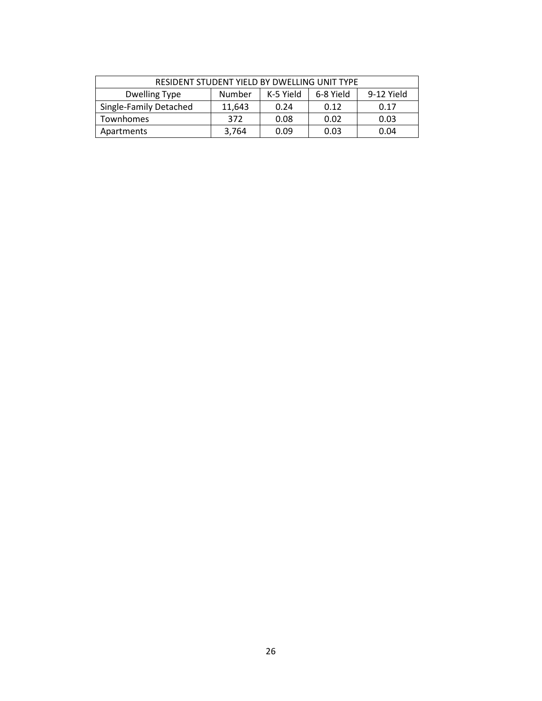| RESIDENT STUDENT YIELD BY DWELLING UNIT TYPE                           |        |      |      |      |  |  |  |  |
|------------------------------------------------------------------------|--------|------|------|------|--|--|--|--|
| 9-12 Yield<br>K-5 Yield<br>6-8 Yield<br><b>Dwelling Type</b><br>Number |        |      |      |      |  |  |  |  |
| Single-Family Detached                                                 | 11,643 | 0.24 | 0.12 | 0.17 |  |  |  |  |
| <b>Townhomes</b>                                                       | 372    | 0.08 | 0.02 | 0.03 |  |  |  |  |
| Apartments                                                             | 3,764  | 0.09 | 0.03 | 0.04 |  |  |  |  |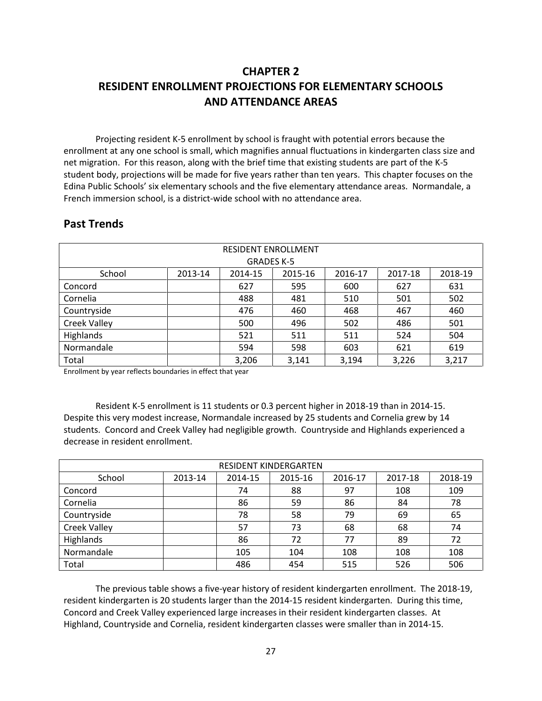## **CHAPTER 2 RESIDENT ENROLLMENT PROJECTIONS FOR ELEMENTARY SCHOOLS AND ATTENDANCE AREAS**

Projecting resident K-5 enrollment by school is fraught with potential errors because the enrollment at any one school is small, which magnifies annual fluctuations in kindergarten class size and net migration. For this reason, along with the brief time that existing students are part of the K-5 student body, projections will be made for five years rather than ten years. This chapter focuses on the Edina Public Schools' six elementary schools and the five elementary attendance areas. Normandale, a French immersion school, is a district-wide school with no attendance area.

| <b>RESIDENT ENROLLMENT</b><br><b>GRADES K-5</b> |         |         |         |         |         |         |  |  |  |
|-------------------------------------------------|---------|---------|---------|---------|---------|---------|--|--|--|
| School                                          | 2013-14 | 2014-15 | 2015-16 | 2016-17 | 2017-18 | 2018-19 |  |  |  |
| Concord                                         |         | 627     | 595     | 600     | 627     | 631     |  |  |  |
| Cornelia                                        |         | 488     | 481     | 510     | 501     | 502     |  |  |  |
| Countryside                                     |         | 476     | 460     | 468     | 467     | 460     |  |  |  |
| <b>Creek Valley</b>                             |         | 500     | 496     | 502     | 486     | 501     |  |  |  |
| Highlands                                       |         | 521     | 511     | 511     | 524     | 504     |  |  |  |
| Normandale                                      |         | 594     | 598     | 603     | 621     | 619     |  |  |  |
| Total                                           |         | 3,206   | 3,141   | 3,194   | 3,226   | 3,217   |  |  |  |

## **Past Trends**

Enrollment by year reflects boundaries in effect that year

Resident K-5 enrollment is 11 students or 0.3 percent higher in 2018-19 than in 2014-15. Despite this very modest increase, Normandale increased by 25 students and Cornelia grew by 14 students. Concord and Creek Valley had negligible growth. Countryside and Highlands experienced a decrease in resident enrollment.

| RESIDENT KINDERGARTEN |         |         |         |         |         |         |  |  |  |
|-----------------------|---------|---------|---------|---------|---------|---------|--|--|--|
| School                | 2013-14 | 2014-15 | 2015-16 | 2016-17 | 2017-18 | 2018-19 |  |  |  |
| Concord               |         | 74      | 88      | 97      | 108     | 109     |  |  |  |
| Cornelia              |         | 86      | 59      | 86      | 84      | 78      |  |  |  |
| Countryside           |         | 78      | 58      | 79      | 69      | 65      |  |  |  |
| <b>Creek Valley</b>   |         | 57      | 73      | 68      | 68      | 74      |  |  |  |
| Highlands             |         | 86      | 72      | 77      | 89      | 72      |  |  |  |
| Normandale            |         | 105     | 104     | 108     | 108     | 108     |  |  |  |
| Total                 |         | 486     | 454     | 515     | 526     | 506     |  |  |  |

The previous table shows a five-year history of resident kindergarten enrollment. The 2018-19, resident kindergarten is 20 students larger than the 2014-15 resident kindergarten. During this time, Concord and Creek Valley experienced large increases in their resident kindergarten classes. At Highland, Countryside and Cornelia, resident kindergarten classes were smaller than in 2014-15.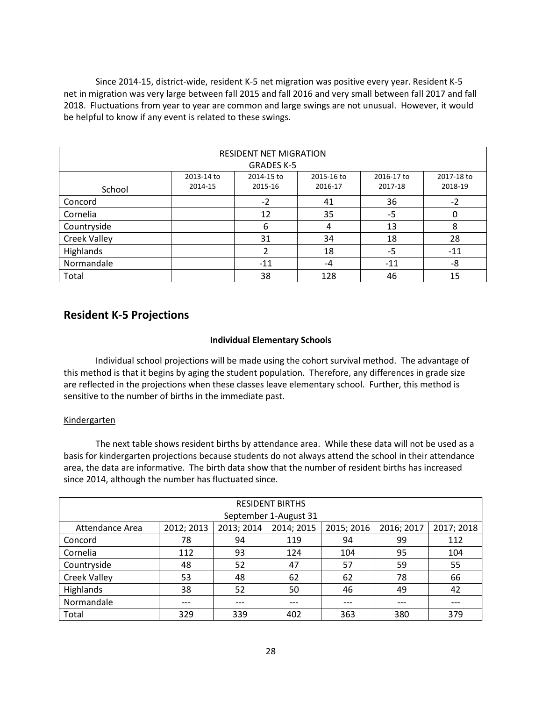Since 2014-15, district-wide, resident K-5 net migration was positive every year. Resident K-5 net in migration was very large between fall 2015 and fall 2016 and very small between fall 2017 and fall 2018. Fluctuations from year to year are common and large swings are not unusual. However, it would be helpful to know if any event is related to these swings.

| <b>RESIDENT NET MIGRATION</b><br><b>GRADES K-5</b> |                            |            |            |            |            |  |  |  |
|----------------------------------------------------|----------------------------|------------|------------|------------|------------|--|--|--|
|                                                    |                            |            |            |            |            |  |  |  |
|                                                    | 2013-14 to                 | 2014-15 to | 2015-16 to | 2016-17 to | 2017-18 to |  |  |  |
| School                                             | 2014-15                    | 2015-16    | 2016-17    | 2017-18    | 2018-19    |  |  |  |
| Concord                                            |                            | $-2$       | 41         | 36         | $-2$       |  |  |  |
| Cornelia                                           |                            | 12         | 35         | $-5$       | 0          |  |  |  |
| Countryside                                        |                            | 6          | 4          | 13         | 8          |  |  |  |
| <b>Creek Valley</b>                                |                            | 31         | 34         | 18         | 28         |  |  |  |
| Highlands                                          |                            | 2          | 18         | $-5$       | $-11$      |  |  |  |
| Normandale                                         | -8<br>$-11$<br>$-11$<br>-4 |            |            |            |            |  |  |  |
| Total                                              |                            | 38         | 128        | 46         | 15         |  |  |  |

## **Resident K-5 Projections**

#### **Individual Elementary Schools**

Individual school projections will be made using the cohort survival method. The advantage of this method is that it begins by aging the student population. Therefore, any differences in grade size are reflected in the projections when these classes leave elementary school. Further, this method is sensitive to the number of births in the immediate past.

#### Kindergarten

The next table shows resident births by attendance area. While these data will not be used as a basis for kindergarten projections because students do not always attend the school in their attendance area, the data are informative. The birth data show that the number of resident births has increased since 2014, although the number has fluctuated since.

| <b>RESIDENT BIRTHS</b> |            |            |            |            |            |            |  |  |  |
|------------------------|------------|------------|------------|------------|------------|------------|--|--|--|
| September 1-August 31  |            |            |            |            |            |            |  |  |  |
| Attendance Area        | 2012; 2013 | 2013; 2014 | 2014; 2015 | 2015; 2016 | 2016; 2017 | 2017; 2018 |  |  |  |
| Concord                | 78         | 94         | 119        | 94         | 99         | 112        |  |  |  |
| Cornelia               | 112        | 93         | 124        | 104        | 95         | 104        |  |  |  |
| Countryside            | 48         | 52         | 47         | 57         | 59         | 55         |  |  |  |
| <b>Creek Valley</b>    | 53         | 48         | 62         | 62         | 78         | 66         |  |  |  |
| Highlands              | 38         | 52         | 50         | 46         | 49         | 42         |  |  |  |
| Normandale             | ---        | ---        | ---        | ---        | ---        | ---        |  |  |  |
| Total                  | 329        | 339        | 402        | 363        | 380        | 379        |  |  |  |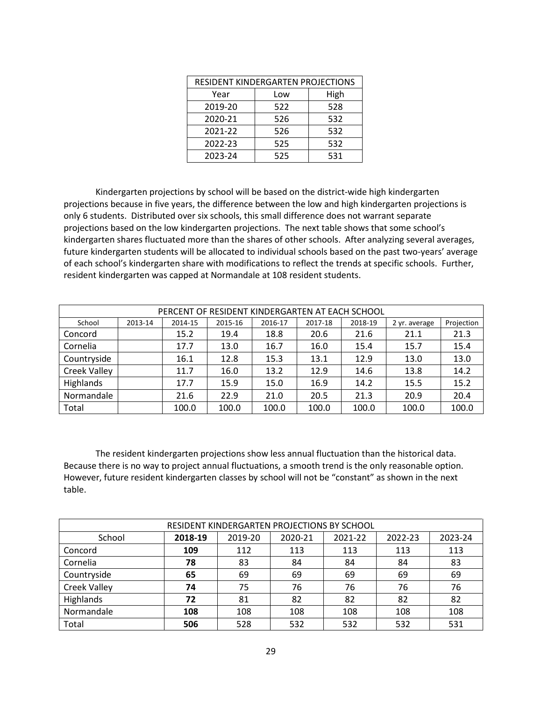| RESIDENT KINDERGARTEN PROJECTIONS |             |     |  |  |
|-----------------------------------|-------------|-----|--|--|
| Year                              | High<br>Low |     |  |  |
| 2019-20                           | 522         | 528 |  |  |
| 2020-21                           | 526         | 532 |  |  |
| 2021-22                           | 526         | 532 |  |  |
| 2022-23                           | 525         | 532 |  |  |
| 2023-24                           | 525         | 531 |  |  |

Kindergarten projections by school will be based on the district-wide high kindergarten projections because in five years, the difference between the low and high kindergarten projections is only 6 students. Distributed over six schools, this small difference does not warrant separate projections based on the low kindergarten projections. The next table shows that some school's kindergarten shares fluctuated more than the shares of other schools. After analyzing several averages, future kindergarten students will be allocated to individual schools based on the past two-years' average of each school's kindergarten share with modifications to reflect the trends at specific schools. Further, resident kindergarten was capped at Normandale at 108 resident students.

| PERCENT OF RESIDENT KINDERGARTEN AT EACH SCHOOL |         |         |         |         |         |         |               |            |
|-------------------------------------------------|---------|---------|---------|---------|---------|---------|---------------|------------|
| School                                          | 2013-14 | 2014-15 | 2015-16 | 2016-17 | 2017-18 | 2018-19 | 2 yr. average | Projection |
| Concord                                         |         | 15.2    | 19.4    | 18.8    | 20.6    | 21.6    | 21.1          | 21.3       |
| Cornelia                                        |         | 17.7    | 13.0    | 16.7    | 16.0    | 15.4    | 15.7          | 15.4       |
| Countryside                                     |         | 16.1    | 12.8    | 15.3    | 13.1    | 12.9    | 13.0          | 13.0       |
| <b>Creek Valley</b>                             |         | 11.7    | 16.0    | 13.2    | 12.9    | 14.6    | 13.8          | 14.2       |
| Highlands                                       |         | 17.7    | 15.9    | 15.0    | 16.9    | 14.2    | 15.5          | 15.2       |
| Normandale                                      |         | 21.6    | 22.9    | 21.0    | 20.5    | 21.3    | 20.9          | 20.4       |
| Total                                           |         | 100.0   | 100.0   | 100.0   | 100.0   | 100.0   | 100.0         | 100.0      |

The resident kindergarten projections show less annual fluctuation than the historical data. Because there is no way to project annual fluctuations, a smooth trend is the only reasonable option. However, future resident kindergarten classes by school will not be "constant" as shown in the next table.

| RESIDENT KINDERGARTEN PROJECTIONS BY SCHOOL |         |         |         |         |         |         |  |
|---------------------------------------------|---------|---------|---------|---------|---------|---------|--|
| School                                      | 2018-19 | 2019-20 | 2020-21 | 2021-22 | 2022-23 | 2023-24 |  |
| Concord                                     | 109     | 112     | 113     | 113     | 113     | 113     |  |
| Cornelia                                    | 78      | 83      | 84      | 84      | 84      | 83      |  |
| Countryside                                 | 65      | 69      | 69      | 69      | 69      | 69      |  |
| <b>Creek Valley</b>                         | 74      | 75      | 76      | 76      | 76      | 76      |  |
| Highlands                                   | 72      | 81      | 82      | 82      | 82      | 82      |  |
| Normandale                                  | 108     | 108     | 108     | 108     | 108     | 108     |  |
| Total                                       | 506     | 528     | 532     | 532     | 532     | 531     |  |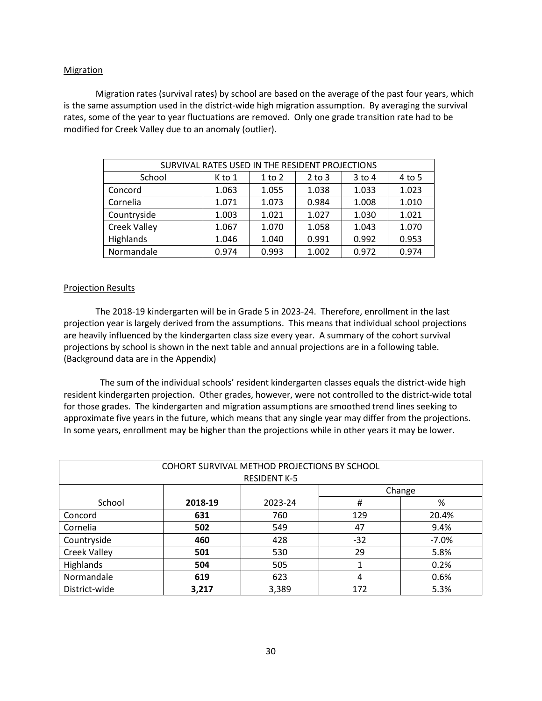#### **Migration**

Migration rates (survival rates) by school are based on the average of the past four years, which is the same assumption used in the district-wide high migration assumption. By averaging the survival rates, some of the year to year fluctuations are removed. Only one grade transition rate had to be modified for Creek Valley due to an anomaly (outlier).

| SURVIVAL RATES USED IN THE RESIDENT PROJECTIONS |        |            |            |          |        |  |  |
|-------------------------------------------------|--------|------------|------------|----------|--------|--|--|
| School                                          | K to 1 | $1$ to $2$ | $2$ to $3$ | $3$ to 4 | 4 to 5 |  |  |
| Concord                                         | 1.063  | 1.055      | 1.038      | 1.033    | 1.023  |  |  |
| Cornelia                                        | 1.071  | 1.073      | 0.984      | 1.008    | 1.010  |  |  |
| Countryside                                     | 1.003  | 1.021      | 1.027      | 1.030    | 1.021  |  |  |
| <b>Creek Valley</b>                             | 1.067  | 1.070      | 1.058      | 1.043    | 1.070  |  |  |
| Highlands                                       | 1.046  | 1.040      | 0.991      | 0.992    | 0.953  |  |  |
| Normandale                                      | 0.974  | 0.993      | 1.002      | 0.972    | 0.974  |  |  |

#### Projection Results

The 2018-19 kindergarten will be in Grade 5 in 2023-24. Therefore, enrollment in the last projection year is largely derived from the assumptions. This means that individual school projections are heavily influenced by the kindergarten class size every year. A summary of the cohort survival projections by school is shown in the next table and annual projections are in a following table. (Background data are in the Appendix)

 The sum of the individual schools' resident kindergarten classes equals the district-wide high resident kindergarten projection. Other grades, however, were not controlled to the district-wide total for those grades. The kindergarten and migration assumptions are smoothed trend lines seeking to approximate five years in the future, which means that any single year may differ from the projections. In some years, enrollment may be higher than the projections while in other years it may be lower.

| COHORT SURVIVAL METHOD PROJECTIONS BY SCHOOL |                         |       |       |         |  |  |  |
|----------------------------------------------|-------------------------|-------|-------|---------|--|--|--|
| <b>RESIDENT K-5</b>                          |                         |       |       |         |  |  |  |
| Change                                       |                         |       |       |         |  |  |  |
| School                                       | 2018-19<br>2023-24<br># |       |       |         |  |  |  |
| Concord                                      | 631                     | 760   | 129   | 20.4%   |  |  |  |
| Cornelia                                     | 502                     | 549   | 47    | 9.4%    |  |  |  |
| Countryside                                  | 460                     | 428   | $-32$ | $-7.0%$ |  |  |  |
| <b>Creek Valley</b>                          | 501                     | 530   | 29    | 5.8%    |  |  |  |
| Highlands                                    | 504                     | 505   |       | 0.2%    |  |  |  |
| Normandale                                   | 619                     | 623   | 4     | 0.6%    |  |  |  |
| District-wide                                | 3,217                   | 3,389 | 172   | 5.3%    |  |  |  |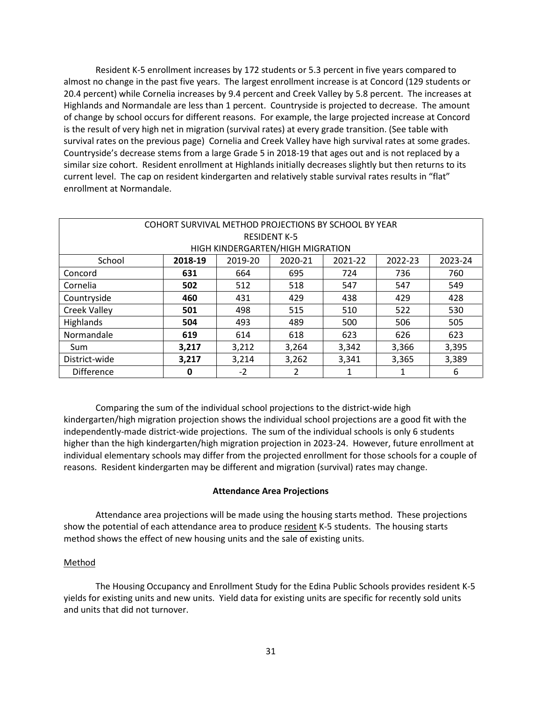Resident K-5 enrollment increases by 172 students or 5.3 percent in five years compared to almost no change in the past five years. The largest enrollment increase is at Concord (129 students or 20.4 percent) while Cornelia increases by 9.4 percent and Creek Valley by 5.8 percent. The increases at Highlands and Normandale are less than 1 percent. Countryside is projected to decrease. The amount of change by school occurs for different reasons. For example, the large projected increase at Concord is the result of very high net in migration (survival rates) at every grade transition. (See table with survival rates on the previous page) Cornelia and Creek Valley have high survival rates at some grades. Countryside's decrease stems from a large Grade 5 in 2018-19 that ages out and is not replaced by a similar size cohort. Resident enrollment at Highlands initially decreases slightly but then returns to its current level. The cap on resident kindergarten and relatively stable survival rates results in "flat" enrollment at Normandale.

| COHORT SURVIVAL METHOD PROJECTIONS BY SCHOOL BY YEAR |                                                    |                                  |                     |         |         |         |  |
|------------------------------------------------------|----------------------------------------------------|----------------------------------|---------------------|---------|---------|---------|--|
|                                                      |                                                    |                                  | <b>RESIDENT K-5</b> |         |         |         |  |
|                                                      |                                                    | HIGH KINDERGARTEN/HIGH MIGRATION |                     |         |         |         |  |
| School                                               | 2018-19                                            | 2019-20                          | 2020-21             | 2021-22 | 2022-23 | 2023-24 |  |
| Concord                                              | 631                                                | 664                              | 695                 | 724     | 736     | 760     |  |
| Cornelia                                             | 502<br>512<br>549<br>518<br>547<br>547             |                                  |                     |         |         |         |  |
| Countryside                                          | 460<br>431<br>438<br>428<br>429<br>429             |                                  |                     |         |         |         |  |
| <b>Creek Valley</b>                                  | 501                                                | 498                              | 515                 | 510     | 522     | 530     |  |
| Highlands                                            | 504                                                | 493                              | 489                 | 500     | 506     | 505     |  |
| Normandale                                           | 619                                                | 614                              | 618                 | 623     | 626     | 623     |  |
| Sum                                                  | 3,395<br>3,212<br>3,342<br>3,366<br>3,217<br>3,264 |                                  |                     |         |         |         |  |
| District-wide                                        | 3,214<br>3,262<br>3,365<br>3,389<br>3,217<br>3,341 |                                  |                     |         |         |         |  |
| <b>Difference</b>                                    | 0                                                  | $-2$                             | 2                   |         | 1       | 6       |  |

Comparing the sum of the individual school projections to the district-wide high kindergarten/high migration projection shows the individual school projections are a good fit with the independently-made district-wide projections. The sum of the individual schools is only 6 students higher than the high kindergarten/high migration projection in 2023-24. However, future enrollment at individual elementary schools may differ from the projected enrollment for those schools for a couple of reasons. Resident kindergarten may be different and migration (survival) rates may change.

#### **Attendance Area Projections**

Attendance area projections will be made using the housing starts method. These projections show the potential of each attendance area to produce resident K-5 students. The housing starts method shows the effect of new housing units and the sale of existing units.

#### Method

The Housing Occupancy and Enrollment Study for the Edina Public Schools provides resident K-5 yields for existing units and new units. Yield data for existing units are specific for recently sold units and units that did not turnover.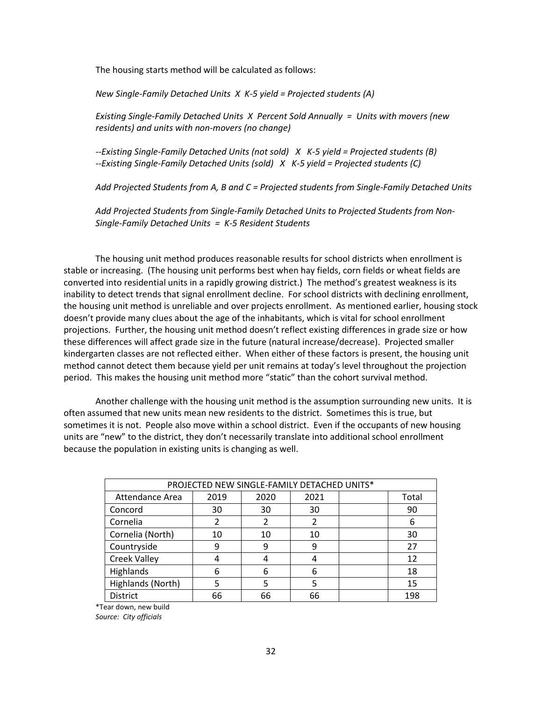The housing starts method will be calculated as follows:

*New Single-Family Detached Units X K-5 yield = Projected students (A)*

*Existing Single-Family Detached Units X Percent Sold Annually = Units with movers (new residents) and units with non-movers (no change)* 

*--Existing Single-Family Detached Units (not sold) X K-5 yield = Projected students (B) --Existing Single-Family Detached Units (sold) X K-5 yield = Projected students (C)*

*Add Projected Students from A, B and C = Projected students from Single-Family Detached Units*

*Add Projected Students from Single-Family Detached Units to Projected Students from Non-Single-Family Detached Units = K-5 Resident Students* 

The housing unit method produces reasonable results for school districts when enrollment is stable or increasing. (The housing unit performs best when hay fields, corn fields or wheat fields are converted into residential units in a rapidly growing district.) The method's greatest weakness is its inability to detect trends that signal enrollment decline. For school districts with declining enrollment, the housing unit method is unreliable and over projects enrollment. As mentioned earlier, housing stock doesn't provide many clues about the age of the inhabitants, which is vital for school enrollment projections. Further, the housing unit method doesn't reflect existing differences in grade size or how these differences will affect grade size in the future (natural increase/decrease). Projected smaller kindergarten classes are not reflected either. When either of these factors is present, the housing unit method cannot detect them because yield per unit remains at today's level throughout the projection period. This makes the housing unit method more "static" than the cohort survival method.

Another challenge with the housing unit method is the assumption surrounding new units. It is often assumed that new units mean new residents to the district. Sometimes this is true, but sometimes it is not. People also move within a school district. Even if the occupants of new housing units are "new" to the district, they don't necessarily translate into additional school enrollment because the population in existing units is changing as well.

| PROJECTED NEW SINGLE-FAMILY DETACHED UNITS* |      |      |      |  |       |  |
|---------------------------------------------|------|------|------|--|-------|--|
| Attendance Area                             | 2019 | 2020 | 2021 |  | Total |  |
| Concord                                     | 30   | 30   | 30   |  | 90    |  |
| Cornelia                                    | 2    | 2    | 2    |  | 6     |  |
| Cornelia (North)                            | 10   | 10   | 10   |  | 30    |  |
| Countryside                                 | 9    | 9    | 9    |  | 27    |  |
| <b>Creek Valley</b>                         |      | 4    |      |  | 12    |  |
| Highlands                                   | 6    | 6    |      |  | 18    |  |
| Highlands (North)                           |      |      |      |  | 15    |  |
| <b>District</b>                             | 66   | 66   | 66   |  | 198   |  |

\*Tear down, new build

*Source: City officials*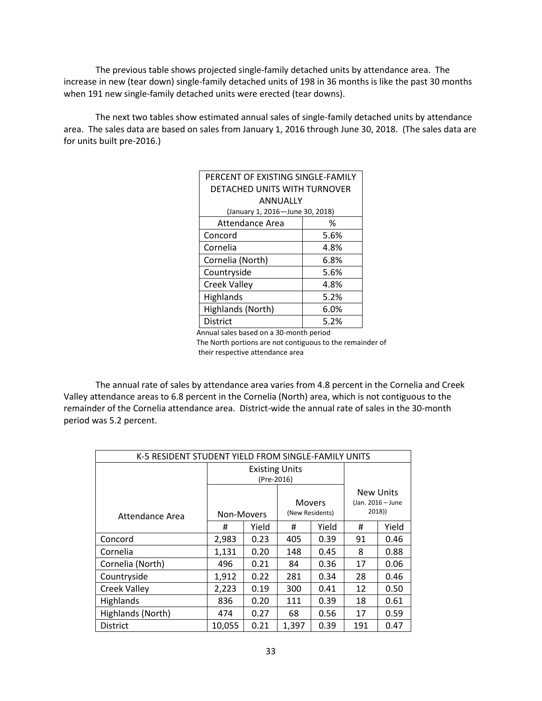The previous table shows projected single-family detached units by attendance area. The increase in new (tear down) single-family detached units of 198 in 36 months is like the past 30 months when 191 new single-family detached units were erected (tear downs).

The next two tables show estimated annual sales of single-family detached units by attendance area. The sales data are based on sales from January 1, 2016 through June 30, 2018. (The sales data are for units built pre-2016.)

| PERCENT OF EXISTING SINGLE-FAMILY |      |  |  |  |
|-----------------------------------|------|--|--|--|
| DETACHED UNITS WITH TURNOVER      |      |  |  |  |
| ANNUALLY                          |      |  |  |  |
| (January 1, 2016-June 30, 2018)   |      |  |  |  |
| Attendance Area<br>℅              |      |  |  |  |
| Concord                           | 5.6% |  |  |  |
| Cornelia                          | 4.8% |  |  |  |
| Cornelia (North)                  | 6.8% |  |  |  |
| Countryside                       | 5.6% |  |  |  |
| <b>Creek Valley</b>               | 4.8% |  |  |  |
| Highlands                         | 5.2% |  |  |  |
| Highlands (North)                 | 6.0% |  |  |  |
| <b>District</b>                   | 5.2% |  |  |  |
|                                   |      |  |  |  |

Annual sales based on a 30-month period

 The North portions are not contiguous to the remainder of their respective attendance area

The annual rate of sales by attendance area varies from 4.8 percent in the Cornelia and Creek Valley attendance areas to 6.8 percent in the Cornelia (North) area, which is not contiguous to the remainder of the Cornelia attendance area. District-wide the annual rate of sales in the 30-month period was 5.2 percent.

| K-5 RESIDENT STUDENT YIELD FROM SINGLE-FAMILY UNITS |                                     |       |                           |       |                                                |       |
|-----------------------------------------------------|-------------------------------------|-------|---------------------------|-------|------------------------------------------------|-------|
|                                                     | <b>Existing Units</b><br>(Pre-2016) |       |                           |       |                                                |       |
| Attendance Area                                     | Non-Movers                          |       | Movers<br>(New Residents) |       | <b>New Units</b><br>(Jan. 2016 - June<br>2018) |       |
|                                                     | #                                   | Yield | #                         | Yield | #                                              | Yield |
| Concord                                             | 2,983                               | 0.23  | 405                       | 0.39  | 91                                             | 0.46  |
| Cornelia                                            | 1,131                               | 0.20  | 148                       | 0.45  | 8                                              | 0.88  |
| Cornelia (North)                                    | 496                                 | 0.21  | 84                        | 0.36  | 17                                             | 0.06  |
| Countryside                                         | 1,912                               | 0.22  | 281                       | 0.34  | 28                                             | 0.46  |
| Creek Valley                                        | 2,223                               | 0.19  | 300                       | 0.41  | 12                                             | 0.50  |
| <b>Highlands</b>                                    | 836                                 | 0.20  | 111                       | 0.39  | 18                                             | 0.61  |
| Highlands (North)                                   | 474                                 | 0.27  | 68                        | 0.56  | 17                                             | 0.59  |
| <b>District</b>                                     | 10,055                              | 0.21  | 1,397                     | 0.39  | 191                                            | 0.47  |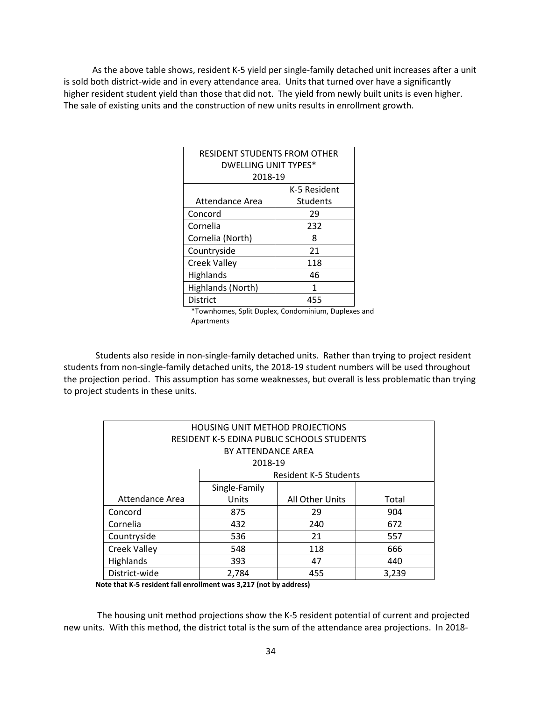As the above table shows, resident K-5 yield per single-family detached unit increases after a unit is sold both district-wide and in every attendance area. Units that turned over have a significantly higher resident student yield than those that did not. The yield from newly built units is even higher. The sale of existing units and the construction of new units results in enrollment growth.

| <b>RESIDENT STUDENTS FROM OTHER</b> |                 |  |  |  |
|-------------------------------------|-----------------|--|--|--|
| <b>DWELLING UNIT TYPES*</b>         |                 |  |  |  |
| 2018-19                             |                 |  |  |  |
| K-5 Resident                        |                 |  |  |  |
| Attendance Area                     | <b>Students</b> |  |  |  |
| Concord<br>29                       |                 |  |  |  |
| Cornelia                            | 232             |  |  |  |
| Cornelia (North)                    | 8               |  |  |  |
| Countryside                         | 21              |  |  |  |
| <b>Creek Valley</b>                 | 118             |  |  |  |
| Highlands                           | 46              |  |  |  |
| Highlands (North)<br>1              |                 |  |  |  |
| District<br>455                     |                 |  |  |  |

\*Townhomes, Split Duplex, Condominium, Duplexes and Apartments

Students also reside in non-single-family detached units. Rather than trying to project resident students from non-single-family detached units, the 2018-19 student numbers will be used throughout the projection period. This assumption has some weaknesses, but overall is less problematic than trying to project students in these units.

| <b>HOUSING UNIT METHOD PROJECTIONS</b>            |                    |                              |       |  |  |  |
|---------------------------------------------------|--------------------|------------------------------|-------|--|--|--|
| <b>RESIDENT K-5 EDINA PUBLIC SCHOOLS STUDENTS</b> |                    |                              |       |  |  |  |
|                                                   | BY ATTENDANCE AREA |                              |       |  |  |  |
|                                                   | 2018-19            |                              |       |  |  |  |
|                                                   |                    | <b>Resident K-5 Students</b> |       |  |  |  |
|                                                   | Single-Family      |                              |       |  |  |  |
| Attendance Area                                   | Units              | All Other Units              | Total |  |  |  |
| Concord                                           | 875                | 29                           | 904   |  |  |  |
| Cornelia                                          | 432                | 240                          | 672   |  |  |  |
| Countryside                                       | 536                | 21                           | 557   |  |  |  |
| <b>Creek Valley</b>                               | 666<br>548<br>118  |                              |       |  |  |  |
| Highlands<br>393<br>47<br>440                     |                    |                              |       |  |  |  |
| District-wide                                     | 2,784              | 455                          | 3,239 |  |  |  |

**Note that K-5 resident fall enrollment was 3,217 (not by address)**

The housing unit method projections show the K-5 resident potential of current and projected new units. With this method, the district total is the sum of the attendance area projections. In 2018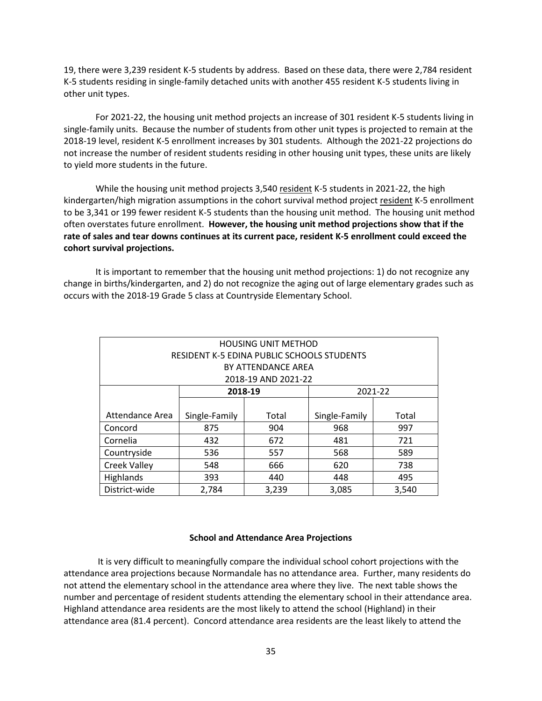19, there were 3,239 resident K-5 students by address. Based on these data, there were 2,784 resident K-5 students residing in single-family detached units with another 455 resident K-5 students living in other unit types.

For 2021-22, the housing unit method projects an increase of 301 resident K-5 students living in single-family units. Because the number of students from other unit types is projected to remain at the 2018-19 level, resident K-5 enrollment increases by 301 students. Although the 2021-22 projections do not increase the number of resident students residing in other housing unit types, these units are likely to yield more students in the future.

While the housing unit method projects 3,540 resident K-5 students in 2021-22, the high kindergarten/high migration assumptions in the cohort survival method project resident K-5 enrollment to be 3,341 or 199 fewer resident K-5 students than the housing unit method. The housing unit method often overstates future enrollment. **However, the housing unit method projections show that if the rate of sales and tear downs continues at its current pace, resident K-5 enrollment could exceed the cohort survival projections.**

It is important to remember that the housing unit method projections: 1) do not recognize any change in births/kindergarten, and 2) do not recognize the aging out of large elementary grades such as occurs with the 2018-19 Grade 5 class at Countryside Elementary School.

| <b>HOUSING UNIT METHOD</b>                        |                                                  |                     |       |         |  |  |  |
|---------------------------------------------------|--------------------------------------------------|---------------------|-------|---------|--|--|--|
| <b>RESIDENT K-5 EDINA PUBLIC SCHOOLS STUDENTS</b> |                                                  |                     |       |         |  |  |  |
|                                                   |                                                  | BY ATTENDANCE AREA  |       |         |  |  |  |
|                                                   |                                                  | 2018-19 AND 2021-22 |       |         |  |  |  |
|                                                   |                                                  | 2018-19             |       | 2021-22 |  |  |  |
|                                                   |                                                  |                     |       |         |  |  |  |
| Attendance Area                                   | Single-Family<br>Single-Family<br>Total<br>Total |                     |       |         |  |  |  |
| Concord                                           | 875                                              | 904                 | 968   | 997     |  |  |  |
| Cornelia                                          | 432                                              | 672                 | 481   | 721     |  |  |  |
| Countryside                                       | 536                                              | 557                 | 568   | 589     |  |  |  |
| <b>Creek Valley</b>                               | 666<br>548<br>620<br>738                         |                     |       |         |  |  |  |
| <b>Highlands</b>                                  | 393<br>440<br>495<br>448                         |                     |       |         |  |  |  |
| District-wide                                     | 2,784                                            | 3,239               | 3,085 | 3,540   |  |  |  |

#### **School and Attendance Area Projections**

It is very difficult to meaningfully compare the individual school cohort projections with the attendance area projections because Normandale has no attendance area. Further, many residents do not attend the elementary school in the attendance area where they live. The next table shows the number and percentage of resident students attending the elementary school in their attendance area. Highland attendance area residents are the most likely to attend the school (Highland) in their attendance area (81.4 percent). Concord attendance area residents are the least likely to attend the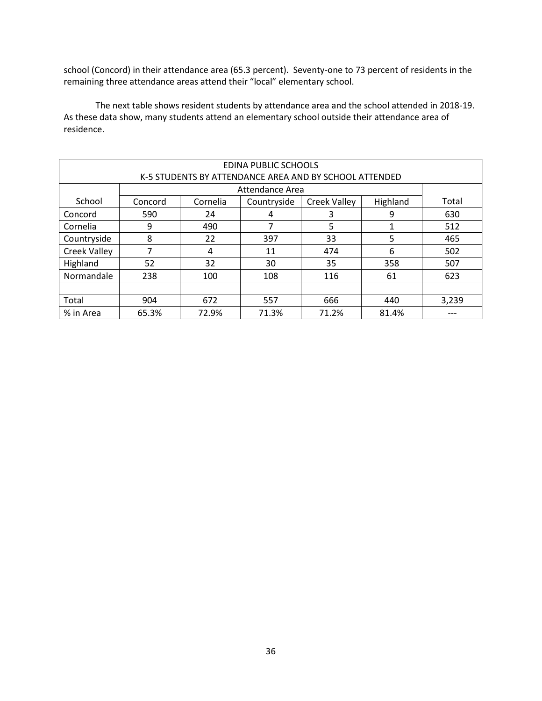school (Concord) in their attendance area (65.3 percent). Seventy-one to 73 percent of residents in the remaining three attendance areas attend their "local" elementary school.

The next table shows resident students by attendance area and the school attended in 2018-19. As these data show, many students attend an elementary school outside their attendance area of residence.

| EDINA PUBLIC SCHOOLS<br>K-5 STUDENTS BY ATTENDANCE AREA AND BY SCHOOL ATTENDED |         |          |                 |                     |          |       |  |  |
|--------------------------------------------------------------------------------|---------|----------|-----------------|---------------------|----------|-------|--|--|
|                                                                                |         |          | Attendance Area |                     |          |       |  |  |
| School                                                                         | Concord | Cornelia | Countryside     | <b>Creek Valley</b> | Highland | Total |  |  |
| Concord                                                                        | 590     | 24       | 4               | 3                   | 9        | 630   |  |  |
| Cornelia                                                                       | 9       | 490      |                 | 5                   |          | 512   |  |  |
| Countryside                                                                    | 8       | 22       | 397             | 33                  | 5        | 465   |  |  |
| <b>Creek Valley</b>                                                            | 7       | 4        | 11              | 474                 | 6        | 502   |  |  |
| Highland                                                                       | 52      | 32       | 30              | 35                  | 358      | 507   |  |  |
| Normandale                                                                     | 238     | 100      | 108             | 116                 | 61       | 623   |  |  |
|                                                                                |         |          |                 |                     |          |       |  |  |
| Total                                                                          | 904     | 672      | 557             | 666                 | 440      | 3,239 |  |  |
| % in Area                                                                      | 65.3%   | 72.9%    | 71.3%           | 71.2%               | 81.4%    |       |  |  |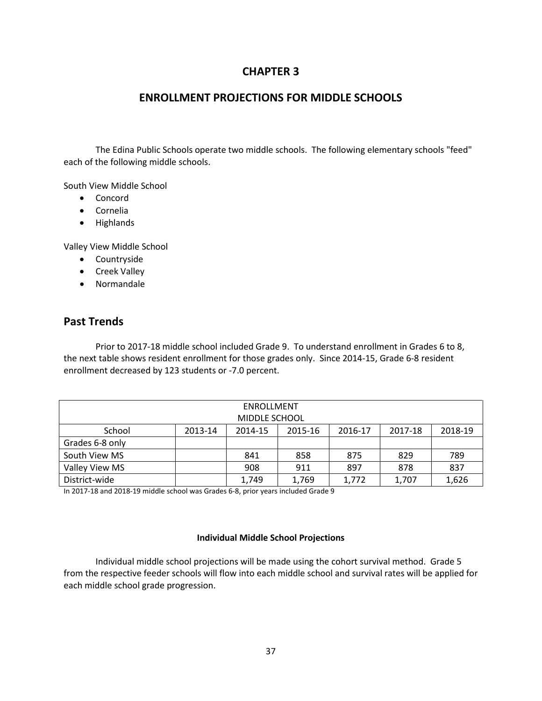## **CHAPTER 3**

## **ENROLLMENT PROJECTIONS FOR MIDDLE SCHOOLS**

The Edina Public Schools operate two middle schools. The following elementary schools "feed" each of the following middle schools.

South View Middle School

- Concord
- Cornelia
- Highlands

Valley View Middle School

- Countryside
- Creek Valley
- Normandale

## **Past Trends**

Prior to 2017-18 middle school included Grade 9. To understand enrollment in Grades 6 to 8, the next table shows resident enrollment for those grades only. Since 2014-15, Grade 6-8 resident enrollment decreased by 123 students or -7.0 percent.

| ENROLLMENT<br>MIDDLE SCHOOL |         |         |         |         |         |         |  |  |  |
|-----------------------------|---------|---------|---------|---------|---------|---------|--|--|--|
| School                      | 2013-14 | 2014-15 | 2015-16 | 2016-17 | 2017-18 | 2018-19 |  |  |  |
| Grades 6-8 only             |         |         |         |         |         |         |  |  |  |
| South View MS               |         | 841     | 858     | 875     | 829     | 789     |  |  |  |
| Valley View MS              |         | 908     | 911     | 897     | 878     | 837     |  |  |  |
| District-wide               |         | 1,749   | 1,769   | 1,772   | 1,707   | 1,626   |  |  |  |

In 2017-18 and 2018-19 middle school was Grades 6-8, prior years included Grade 9

#### **Individual Middle School Projections**

Individual middle school projections will be made using the cohort survival method. Grade 5 from the respective feeder schools will flow into each middle school and survival rates will be applied for each middle school grade progression.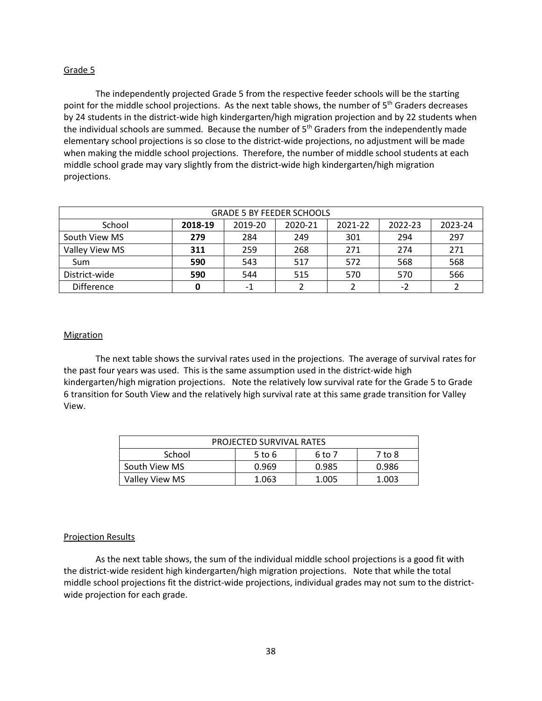#### Grade 5

The independently projected Grade 5 from the respective feeder schools will be the starting point for the middle school projections. As the next table shows, the number of 5<sup>th</sup> Graders decreases by 24 students in the district-wide high kindergarten/high migration projection and by 22 students when the individual schools are summed. Because the number of  $5<sup>th</sup>$  Graders from the independently made elementary school projections is so close to the district-wide projections, no adjustment will be made when making the middle school projections. Therefore, the number of middle school students at each middle school grade may vary slightly from the district-wide high kindergarten/high migration projections.

| <b>GRADE 5 BY FEEDER SCHOOLS</b> |         |         |         |         |         |         |  |  |  |
|----------------------------------|---------|---------|---------|---------|---------|---------|--|--|--|
| School                           | 2018-19 | 2019-20 | 2020-21 | 2021-22 | 2022-23 | 2023-24 |  |  |  |
| South View MS                    | 279     | 284     | 249     | 301     | 294     | 297     |  |  |  |
| Valley View MS                   | 311     | 259     | 268     | 271     | 274     | 271     |  |  |  |
| <b>Sum</b>                       | 590     | 543     | 517     | 572     | 568     | 568     |  |  |  |
| District-wide                    | 590     | 544     | 515     | 570     | 570     | 566     |  |  |  |
| <b>Difference</b>                | 0       | -1      |         |         | -2      |         |  |  |  |

#### **Migration**

The next table shows the survival rates used in the projections. The average of survival rates for the past four years was used. This is the same assumption used in the district-wide high kindergarten/high migration projections. Note the relatively low survival rate for the Grade 5 to Grade 6 transition for South View and the relatively high survival rate at this same grade transition for Valley View.

| PROJECTED SURVIVAL RATES                  |            |        |        |  |  |  |  |
|-------------------------------------------|------------|--------|--------|--|--|--|--|
| School                                    | $5$ to $6$ | 6 to 7 | 7 to 8 |  |  |  |  |
| South View MS                             | 0.969      | 0.985  | 0.986  |  |  |  |  |
| Valley View MS<br>1.005<br>1.063<br>1.003 |            |        |        |  |  |  |  |

#### Projection Results

As the next table shows, the sum of the individual middle school projections is a good fit with the district-wide resident high kindergarten/high migration projections. Note that while the total middle school projections fit the district-wide projections, individual grades may not sum to the districtwide projection for each grade.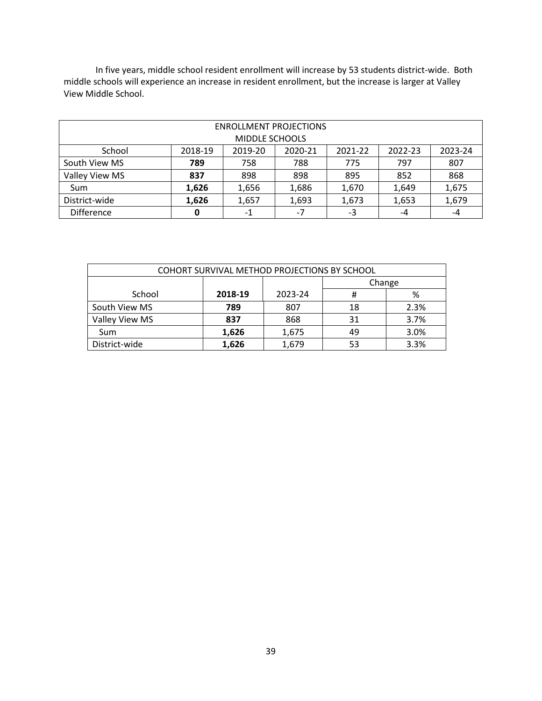In five years, middle school resident enrollment will increase by 53 students district-wide. Both middle schools will experience an increase in resident enrollment, but the increase is larger at Valley View Middle School.

| <b>ENROLLMENT PROJECTIONS</b><br>MIDDLE SCHOOLS |         |         |         |         |         |         |  |  |  |
|-------------------------------------------------|---------|---------|---------|---------|---------|---------|--|--|--|
|                                                 |         |         |         |         |         |         |  |  |  |
| School                                          | 2018-19 | 2019-20 | 2020-21 | 2021-22 | 2022-23 | 2023-24 |  |  |  |
| South View MS                                   | 789     | 758     | 788     | 775     | 797     | 807     |  |  |  |
| Valley View MS                                  | 837     | 898     | 898     | 895     | 852     | 868     |  |  |  |
| <b>Sum</b>                                      | 1,626   | 1,656   | 1,686   | 1,670   | 1,649   | 1,675   |  |  |  |
| District-wide                                   | 1,626   | 1,657   | 1,693   | 1,673   | 1,653   | 1,679   |  |  |  |
| Difference                                      | 0       | -1      | $-7$    | -3      | -4      | -4      |  |  |  |

| COHORT SURVIVAL METHOD PROJECTIONS BY SCHOOL |         |         |        |      |  |  |  |  |
|----------------------------------------------|---------|---------|--------|------|--|--|--|--|
|                                              |         |         | Change |      |  |  |  |  |
| School                                       | 2018-19 | 2023-24 | #      | %    |  |  |  |  |
| South View MS                                | 789     | 807     | 18     | 2.3% |  |  |  |  |
| Valley View MS                               | 837     | 868     | 31     | 3.7% |  |  |  |  |
| Sum                                          | 1,626   | 1,675   | 49     | 3.0% |  |  |  |  |
| District-wide                                | 1,626   | 1,679   | 53     | 3.3% |  |  |  |  |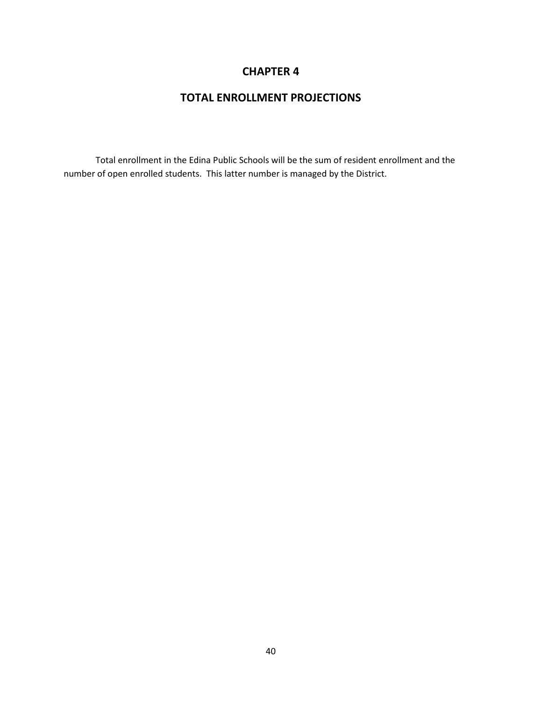## **CHAPTER 4**

## **TOTAL ENROLLMENT PROJECTIONS**

Total enrollment in the Edina Public Schools will be the sum of resident enrollment and the number of open enrolled students. This latter number is managed by the District.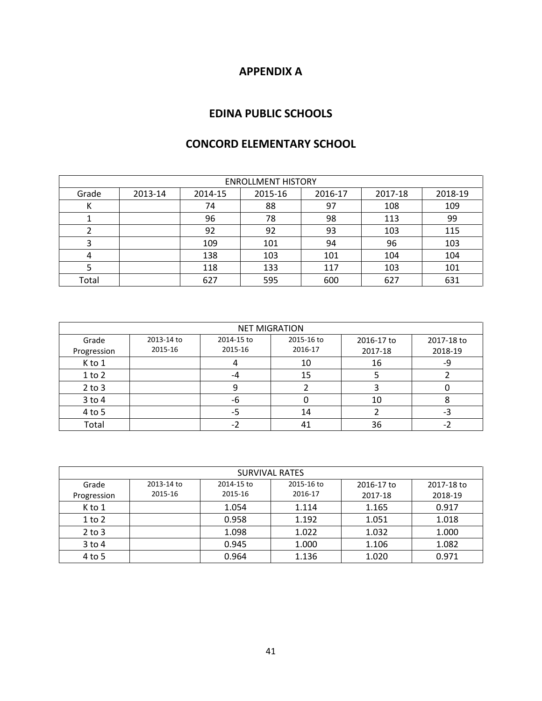## **APPENDIX A**

## **EDINA PUBLIC SCHOOLS**

| <b>CONCORD ELEMENTARY SCHOOL</b> |  |
|----------------------------------|--|
|----------------------------------|--|

| <b>ENROLLMENT HISTORY</b> |         |         |         |         |         |         |  |  |  |
|---------------------------|---------|---------|---------|---------|---------|---------|--|--|--|
| Grade                     | 2013-14 | 2014-15 | 2015-16 | 2016-17 | 2017-18 | 2018-19 |  |  |  |
|                           |         | 74      | 88      | 97      | 108     | 109     |  |  |  |
|                           |         | 96      | 78      | 98      | 113     | 99      |  |  |  |
|                           |         | 92      | 92      | 93      | 103     | 115     |  |  |  |
|                           |         | 109     | 101     | 94      | 96      | 103     |  |  |  |
|                           |         | 138     | 103     | 101     | 104     | 104     |  |  |  |
|                           |         | 118     | 133     | 117     | 103     | 101     |  |  |  |
| Total                     |         | 627     | 595     | 600     | 627     | 631     |  |  |  |

| <b>NET MIGRATION</b> |            |            |            |            |            |  |  |  |  |
|----------------------|------------|------------|------------|------------|------------|--|--|--|--|
| Grade                | 2013-14 to | 2014-15 to | 2015-16 to | 2016-17 to | 2017-18 to |  |  |  |  |
| Progression          | 2015-16    | 2015-16    | 2016-17    | 2017-18    | 2018-19    |  |  |  |  |
| K to 1               |            |            | 10         | 16         | -9         |  |  |  |  |
| $1$ to $2$           |            | -4         | 15         |            |            |  |  |  |  |
| $2$ to $3$           |            | q          |            |            |            |  |  |  |  |
| $3$ to $4$           |            | -6         |            | 10         |            |  |  |  |  |
| 4 to 5               |            | -5         | 14         |            | -3         |  |  |  |  |
| Total                |            | - 2        | 41         | 36         |            |  |  |  |  |

| <b>SURVIVAL RATES</b> |            |            |            |            |            |  |  |  |  |
|-----------------------|------------|------------|------------|------------|------------|--|--|--|--|
| Grade                 | 2013-14 to | 2014-15 to | 2015-16 to | 2016-17 to | 2017-18 to |  |  |  |  |
| Progression           | 2015-16    | 2015-16    | 2016-17    | 2017-18    | 2018-19    |  |  |  |  |
| K to 1                |            | 1.054      | 1.114      | 1.165      | 0.917      |  |  |  |  |
| $1$ to $2$            |            | 0.958      | 1.192      | 1.051      | 1.018      |  |  |  |  |
| $2$ to $3$            |            | 1.098      | 1.022      | 1.032      | 1.000      |  |  |  |  |
| $3$ to 4              |            | 0.945      | 1.000      | 1.106      | 1.082      |  |  |  |  |
| 4 to 5                |            | 0.964      | 1.136      | 1.020      | 0.971      |  |  |  |  |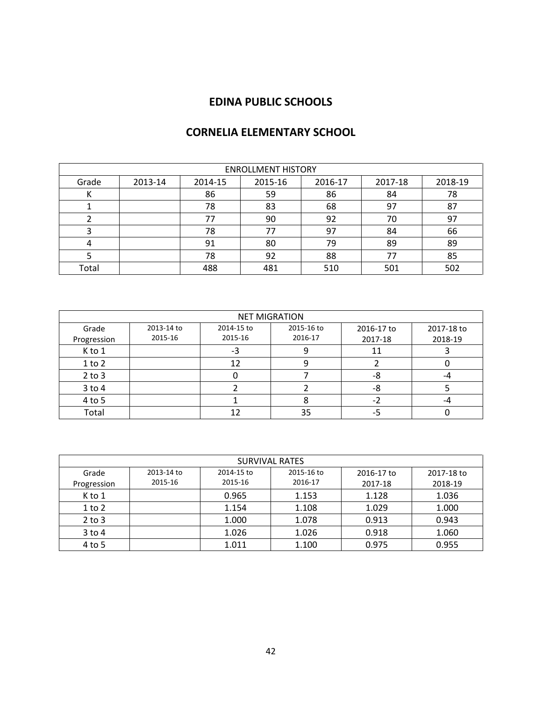| <b>ENROLLMENT HISTORY</b> |         |         |         |         |         |         |  |  |
|---------------------------|---------|---------|---------|---------|---------|---------|--|--|
| Grade                     | 2013-14 | 2014-15 | 2015-16 | 2016-17 | 2017-18 | 2018-19 |  |  |
| N                         |         | 86      | 59      | 86      | 84      | 78      |  |  |
|                           |         | 78      | 83      | 68      | 97      | 87      |  |  |
|                           |         | 77      | 90      | 92      | 70      | 97      |  |  |
|                           |         | 78      | 77      | 97      | 84      | 66      |  |  |
|                           |         | 91      | 80      | 79      | 89      | 89      |  |  |
|                           |         | 78      | 92      | 88      | 77      | 85      |  |  |
| Total                     |         | 488     | 481     | 510     | 501     | 502     |  |  |

## **CORNELIA ELEMENTARY SCHOOL**

| <b>NET MIGRATION</b> |            |            |            |            |            |  |  |  |  |
|----------------------|------------|------------|------------|------------|------------|--|--|--|--|
| Grade                | 2013-14 to | 2014-15 to | 2015-16 to | 2016-17 to | 2017-18 to |  |  |  |  |
| Progression          | 2015-16    | 2015-16    | 2016-17    | 2017-18    | 2018-19    |  |  |  |  |
| K to 1               |            | -3         |            | 11         |            |  |  |  |  |
| $1$ to $2$           |            | 12         | 9          |            |            |  |  |  |  |
| $2$ to $3$           |            |            |            | -8         | -4         |  |  |  |  |
| $3$ to $4$           |            |            |            | -8         |            |  |  |  |  |
| 4 to 5               |            |            |            |            | -4         |  |  |  |  |
| Total                |            |            | 35         | כ-         |            |  |  |  |  |

| <b>SURVIVAL RATES</b> |            |            |            |            |            |  |  |  |  |
|-----------------------|------------|------------|------------|------------|------------|--|--|--|--|
| Grade                 | 2013-14 to | 2014-15 to | 2015-16 to | 2016-17 to | 2017-18 to |  |  |  |  |
| Progression           | 2015-16    | 2015-16    | 2016-17    | 2017-18    | 2018-19    |  |  |  |  |
| K to 1                |            | 0.965      | 1.153      | 1.128      | 1.036      |  |  |  |  |
| $1$ to $2$            |            | 1.154      | 1.108      | 1.029      | 1.000      |  |  |  |  |
| $2$ to $3$            |            | 1.000      | 1.078      | 0.913      | 0.943      |  |  |  |  |
| $3$ to 4              |            | 1.026      | 1.026      | 0.918      | 1.060      |  |  |  |  |
| 4 to 5                |            | 1.011      | 1.100      | 0.975      | 0.955      |  |  |  |  |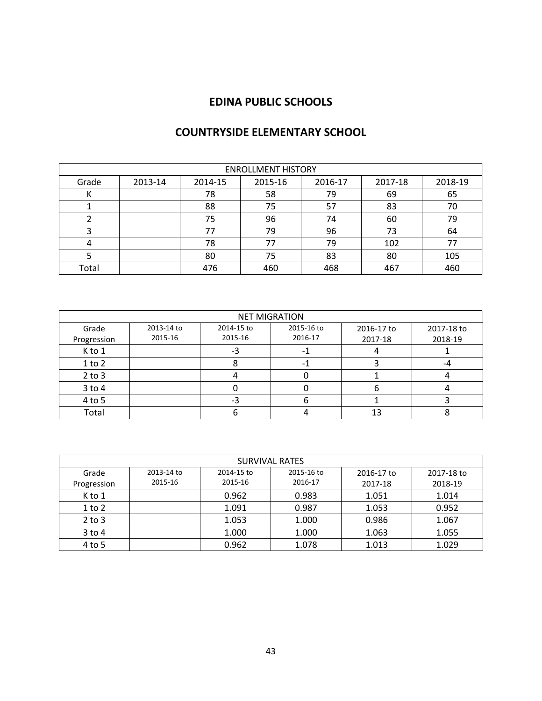| <b>ENROLLMENT HISTORY</b> |         |         |         |         |         |         |  |  |
|---------------------------|---------|---------|---------|---------|---------|---------|--|--|
| Grade                     | 2013-14 | 2014-15 | 2015-16 | 2016-17 | 2017-18 | 2018-19 |  |  |
| N                         |         | 78      | 58      | 79      | 69      | 65      |  |  |
|                           |         | 88      | 75      | 57      | 83      | 70      |  |  |
|                           |         | 75      | 96      | 74      | 60      | 79      |  |  |
|                           |         | 77      | 79      | 96      | 73      | 64      |  |  |
|                           |         | 78      | 77      | 79      | 102     | 77      |  |  |
|                           |         | 80      | 75      | 83      | 80      | 105     |  |  |
| Total                     |         | 476     | 460     | 468     | 467     | 460     |  |  |

## **COUNTRYSIDE ELEMENTARY SCHOOL**

|             | <b>NET MIGRATION</b> |            |            |            |            |  |  |  |  |
|-------------|----------------------|------------|------------|------------|------------|--|--|--|--|
| Grade       | 2013-14 to           | 2014-15 to | 2015-16 to | 2016-17 to | 2017-18 to |  |  |  |  |
| Progression | 2015-16              | 2015-16    | 2016-17    | 2017-18    | 2018-19    |  |  |  |  |
| K to 1      |                      |            |            |            |            |  |  |  |  |
| $1$ to $2$  |                      |            |            |            |            |  |  |  |  |
| $2$ to $3$  |                      |            |            |            |            |  |  |  |  |
| $3$ to $4$  |                      |            |            |            |            |  |  |  |  |
| 4 to 5      |                      |            |            |            |            |  |  |  |  |
| Total       |                      |            |            | 13         |            |  |  |  |  |

| <b>SURVIVAL RATES</b> |            |                                                      |         |         |         |  |  |  |  |
|-----------------------|------------|------------------------------------------------------|---------|---------|---------|--|--|--|--|
| Grade                 | 2013-14 to | 2015-16 to<br>2014-15 to<br>2016-17 to<br>2017-18 to |         |         |         |  |  |  |  |
| Progression           | 2015-16    | 2015-16                                              | 2016-17 | 2017-18 | 2018-19 |  |  |  |  |
| K to 1                |            | 0.962                                                | 0.983   | 1.051   | 1.014   |  |  |  |  |
| $1$ to $2$            |            | 1.091                                                | 0.987   | 1.053   | 0.952   |  |  |  |  |
| $2$ to $3$            |            | 1.053                                                | 1.000   | 0.986   | 1.067   |  |  |  |  |
| $3$ to 4              |            | 1.000                                                | 1.000   | 1.063   | 1.055   |  |  |  |  |
| 4 to 5                |            | 0.962                                                | 1.078   | 1.013   | 1.029   |  |  |  |  |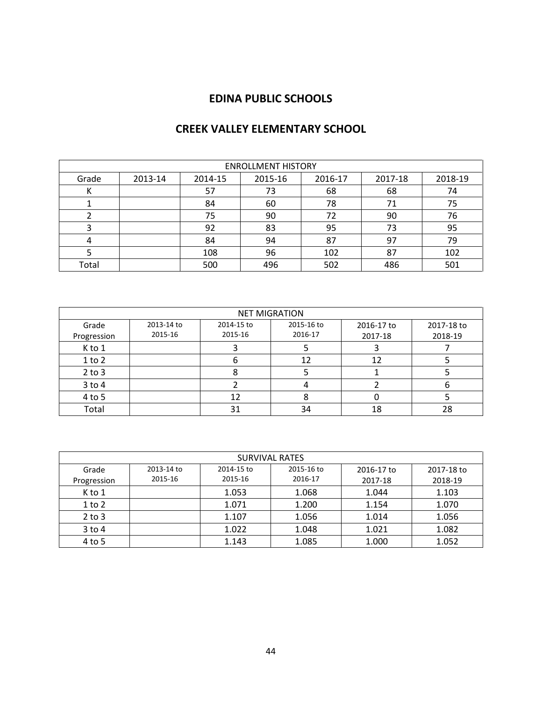## **CREEK VALLEY ELEMENTARY SCHOOL**

| <b>ENROLLMENT HISTORY</b> |         |         |         |         |         |         |  |  |
|---------------------------|---------|---------|---------|---------|---------|---------|--|--|
| Grade                     | 2013-14 | 2014-15 | 2015-16 | 2016-17 | 2017-18 | 2018-19 |  |  |
| к                         |         | 57      | 73      | 68      | 68      | 74      |  |  |
|                           |         | 84      | 60      | 78      | 71      | 75      |  |  |
|                           |         | 75      | 90      | 72      | 90      | 76      |  |  |
|                           |         | 92      | 83      | 95      | 73      | 95      |  |  |
|                           |         | 84      | 94      | 87      | 97      | 79      |  |  |
|                           |         | 108     | 96      | 102     | 87      | 102     |  |  |
| Total                     |         | 500     | 496     | 502     | 486     | 501     |  |  |

| <b>NET MIGRATION</b> |                       |                       |                       |            |            |  |  |  |
|----------------------|-----------------------|-----------------------|-----------------------|------------|------------|--|--|--|
| Grade                | 2013-14 to<br>2015-16 | 2014-15 to<br>2015-16 | 2015-16 to<br>2016-17 | 2016-17 to | 2017-18 to |  |  |  |
| Progression          |                       |                       |                       | 2017-18    | 2018-19    |  |  |  |
| K to 1               |                       |                       |                       |            |            |  |  |  |
| $1$ to $2$           |                       |                       | 12                    | 12         |            |  |  |  |
| $2$ to $3$           |                       |                       |                       |            |            |  |  |  |
| $3$ to $4$           |                       |                       |                       |            |            |  |  |  |
| 4 to 5               |                       | 12                    |                       |            |            |  |  |  |
| Total                |                       | 31                    | 34                    | 18         | 28         |  |  |  |

| <b>SURVIVAL RATES</b> |                                                                    |         |         |         |         |  |  |  |  |
|-----------------------|--------------------------------------------------------------------|---------|---------|---------|---------|--|--|--|--|
| Grade                 | 2015-16 to<br>2013-14 to<br>2014-15 to<br>2017-18 to<br>2016-17 to |         |         |         |         |  |  |  |  |
| Progression           | 2015-16                                                            | 2015-16 | 2016-17 | 2017-18 | 2018-19 |  |  |  |  |
| K to 1                |                                                                    | 1.053   | 1.068   | 1.044   | 1.103   |  |  |  |  |
| $1$ to $2$            |                                                                    | 1.071   | 1.200   | 1.154   | 1.070   |  |  |  |  |
| $2$ to $3$            |                                                                    | 1.107   | 1.056   | 1.014   | 1.056   |  |  |  |  |
| $3$ to 4              |                                                                    | 1.022   | 1.048   | 1.021   | 1.082   |  |  |  |  |
| 4 to 5                |                                                                    | 1.143   | 1.085   | 1.000   | 1.052   |  |  |  |  |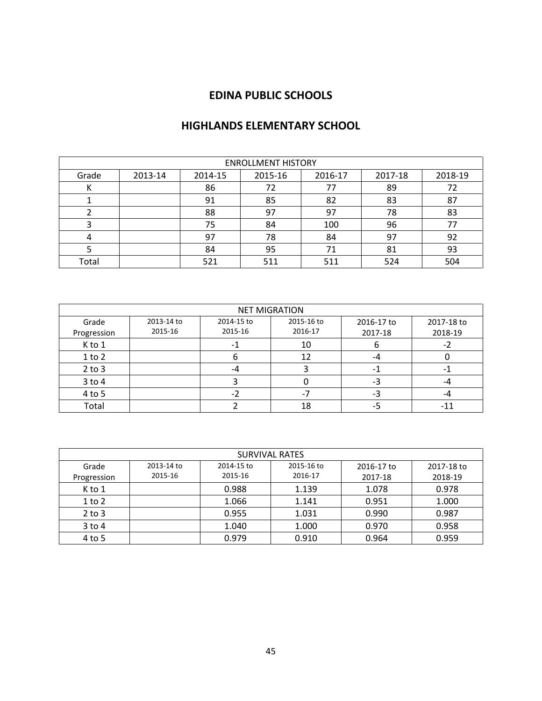## **HIGHLANDS ELEMENTARY SCHOOL**

|       | <b>ENROLLMENT HISTORY</b>                                      |     |     |     |     |     |  |  |  |
|-------|----------------------------------------------------------------|-----|-----|-----|-----|-----|--|--|--|
| Grade | 2015-16<br>2018-19<br>2013-14<br>2014-15<br>2017-18<br>2016-17 |     |     |     |     |     |  |  |  |
| N     |                                                                | 86  | 72  | 77  | 89  | 72  |  |  |  |
|       |                                                                | 91  | 85  | 82  | 83  | 87  |  |  |  |
|       |                                                                | 88  | 97  | 97  | 78  | 83  |  |  |  |
|       |                                                                | 75  | 84  | 100 | 96  | 77  |  |  |  |
|       |                                                                | 97  | 78  | 84  | 97  | 92  |  |  |  |
|       |                                                                | 84  | 95  | 71  | 81  | 93  |  |  |  |
| Total |                                                                | 521 | 511 | 511 | 524 | 504 |  |  |  |

| <b>NET MIGRATION</b> |            |            |            |            |            |  |  |  |  |
|----------------------|------------|------------|------------|------------|------------|--|--|--|--|
| Grade                | 2013-14 to | 2014-15 to | 2015-16 to | 2016-17 to | 2017-18 to |  |  |  |  |
| Progression          | 2015-16    | 2015-16    | 2016-17    | 2017-18    | 2018-19    |  |  |  |  |
| K to 1               |            |            | 10         | o          |            |  |  |  |  |
| $1$ to $2$           |            |            | 12         | -4         |            |  |  |  |  |
| $2$ to $3$           |            | -4         |            |            |            |  |  |  |  |
| 3 to 4               |            |            |            | -3         | -4         |  |  |  |  |
| 4 to 5               |            |            |            | -3         | -4         |  |  |  |  |
| Total                |            |            | 18         | -5         | $-11$      |  |  |  |  |

|             | <b>SURVIVAL RATES</b> |            |            |            |            |  |  |  |  |  |
|-------------|-----------------------|------------|------------|------------|------------|--|--|--|--|--|
| Grade       | 2013-14 to            | 2014-15 to | 2015-16 to | 2016-17 to | 2017-18 to |  |  |  |  |  |
| Progression | 2015-16               | 2015-16    | 2016-17    | 2017-18    | 2018-19    |  |  |  |  |  |
| K to 1      |                       | 0.988      | 1.139      | 1.078      | 0.978      |  |  |  |  |  |
| $1$ to $2$  |                       | 1.066      | 1.141      | 0.951      | 1.000      |  |  |  |  |  |
| $2$ to $3$  |                       | 0.955      | 1.031      | 0.990      | 0.987      |  |  |  |  |  |
| $3$ to $4$  |                       | 1.040      | 1.000      | 0.970      | 0.958      |  |  |  |  |  |
| 4 to 5      |                       | 0.979      | 0.910      | 0.964      | 0.959      |  |  |  |  |  |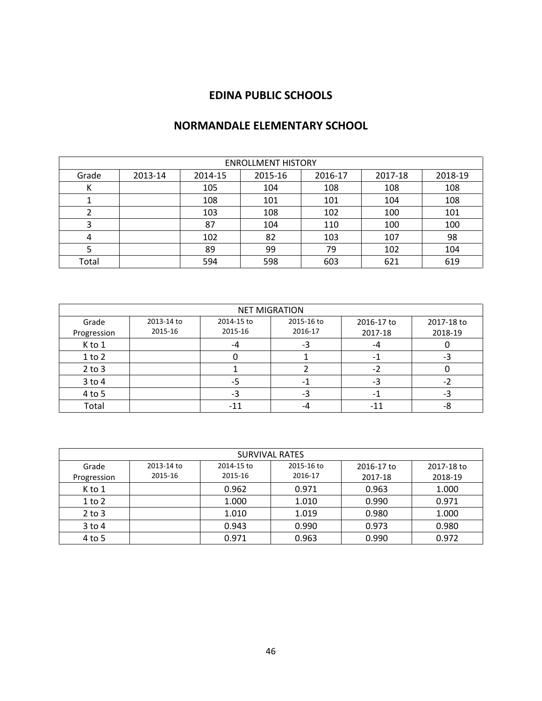## **NORMANDALE ELEMENTARY SCHOOL**

| <b>ENROLLMENT HISTORY</b> |         |         |         |         |         |         |  |  |  |
|---------------------------|---------|---------|---------|---------|---------|---------|--|--|--|
| Grade                     | 2013-14 | 2014-15 | 2015-16 | 2016-17 | 2017-18 | 2018-19 |  |  |  |
| К                         |         | 105     | 104     | 108     | 108     | 108     |  |  |  |
|                           |         | 108     | 101     | 101     | 104     | 108     |  |  |  |
|                           |         | 103     | 108     | 102     | 100     | 101     |  |  |  |
| 3                         |         | 87      | 104     | 110     | 100     | 100     |  |  |  |
| 4                         |         | 102     | 82      | 103     | 107     | 98      |  |  |  |
|                           |         | 89      | 99      | 79      | 102     | 104     |  |  |  |
| Total                     |         | 594     | 598     | 603     | 621     | 619     |  |  |  |

| <b>NET MIGRATION</b> |            |            |            |            |            |  |  |  |  |
|----------------------|------------|------------|------------|------------|------------|--|--|--|--|
| Grade                | 2013-14 to | 2014-15 to | 2015-16 to | 2016-17 to | 2017-18 to |  |  |  |  |
| Progression          | 2015-16    | 2015-16    | 2016-17    | 2017-18    | 2018-19    |  |  |  |  |
| K to 1               |            | -4         | -3         | -4         |            |  |  |  |  |
| $1$ to $2$           |            |            |            |            | -3         |  |  |  |  |
| $2$ to $3$           |            |            |            | $-2$       |            |  |  |  |  |
| $3$ to $4$           |            | -5         | - 1        | -3         | -2         |  |  |  |  |
| 4 to 5               |            | -3         | -3         | -1         | -3         |  |  |  |  |
| Total                |            | $-11$      | -4         | -11        | -8         |  |  |  |  |

| <b>SURVIVAL RATES</b> |            |            |            |            |            |  |
|-----------------------|------------|------------|------------|------------|------------|--|
| Grade                 | 2013-14 to | 2014-15 to | 2015-16 to | 2016-17 to | 2017-18 to |  |
| Progression           | 2015-16    | 2015-16    | 2016-17    | 2017-18    | 2018-19    |  |
| K to 1                |            | 0.962      | 0.971      | 0.963      | 1.000      |  |
| $1$ to $2$            |            | 1.000      | 1.010      | 0.990      | 0.971      |  |
| $2$ to $3$            |            | 1.010      | 1.019      | 0.980      | 1.000      |  |
| $3$ to $4$            |            | 0.943      | 0.990      | 0.973      | 0.980      |  |
| 4 to 5                |            | 0.971      | 0.963      | 0.990      | 0.972      |  |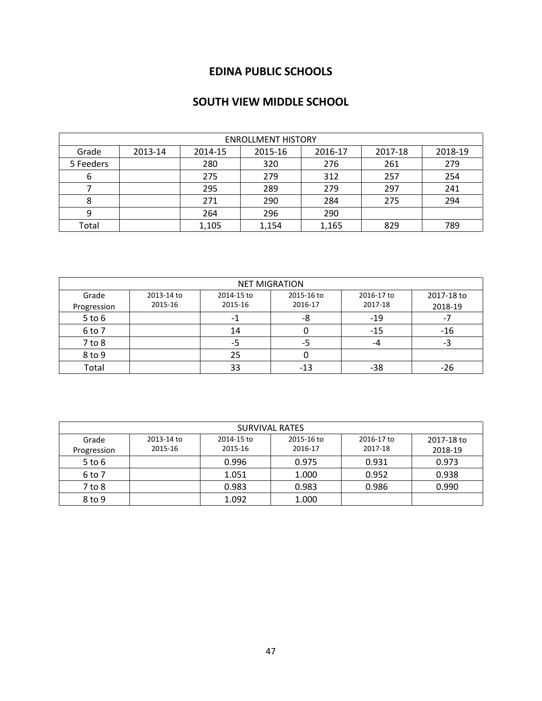## **SOUTH VIEW MIDDLE SCHOOL**

| <b>ENROLLMENT HISTORY</b> |         |         |         |         |         |         |
|---------------------------|---------|---------|---------|---------|---------|---------|
| Grade                     | 2013-14 | 2014-15 | 2015-16 | 2016-17 | 2017-18 | 2018-19 |
| 5 Feeders                 |         | 280     | 320     | 276     | 261     | 279     |
| 6                         |         | 275     | 279     | 312     | 257     | 254     |
|                           |         | 295     | 289     | 279     | 297     | 241     |
| 8                         |         | 271     | 290     | 284     | 275     | 294     |
| 9                         |         | 264     | 296     | 290     |         |         |
| Total                     |         | 1,105   | 1,154   | 1,165   | 829     | 789     |

| <b>NET MIGRATION</b> |            |                          |            |            |            |
|----------------------|------------|--------------------------|------------|------------|------------|
| Grade                | 2013-14 to | 2014-15 to               | 2015-16 to | 2016-17 to | 2017-18 to |
| Progression          | 2015-16    | 2015-16                  | 2016-17    | 2017-18    | 2018-19    |
| $5$ to $6$           |            | $\overline{\phantom{0}}$ | -8         | $-19$      |            |
| 6 to 7               |            | 14                       |            | -15        | $-16$      |
| $7$ to $8$           |            | -5                       | -5         | -4         | -3         |
| 8 to 9               |            | 25                       |            |            |            |
| Total                |            | 33                       | -13        | -38        | -26        |

| <b>SURVIVAL RATES</b> |            |            |            |            |            |  |
|-----------------------|------------|------------|------------|------------|------------|--|
| Grade                 | 2013-14 to | 2014-15 to | 2015-16 to | 2016-17 to | 2017-18 to |  |
| Progression           | 2015-16    | 2015-16    | 2016-17    | 2017-18    | 2018-19    |  |
| $5$ to $6$            |            | 0.996      | 0.975      | 0.931      | 0.973      |  |
| 6 to 7                |            | 1.051      | 1.000      | 0.952      | 0.938      |  |
| 7 to 8                |            | 0.983      | 0.983      | 0.986      | 0.990      |  |
| 8 to 9                |            | 1.092      | 1.000      |            |            |  |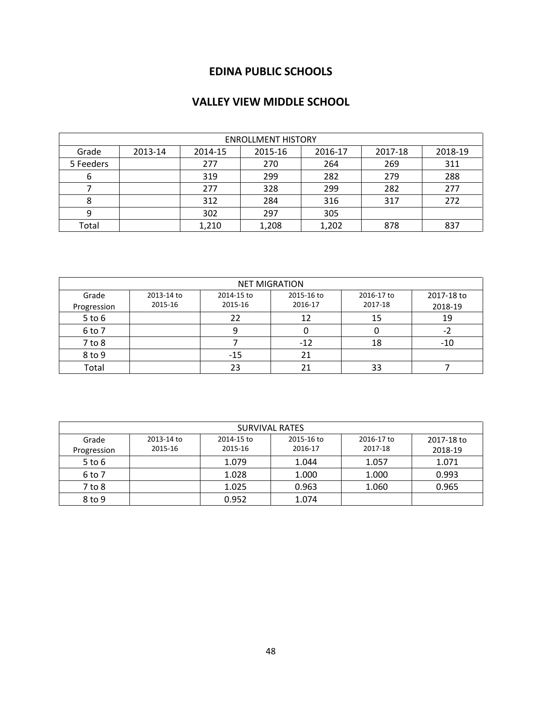## **VALLEY VIEW MIDDLE SCHOOL**

| <b>ENROLLMENT HISTORY</b> |         |         |         |         |         |         |
|---------------------------|---------|---------|---------|---------|---------|---------|
| Grade                     | 2013-14 | 2014-15 | 2015-16 | 2016-17 | 2017-18 | 2018-19 |
| 5 Feeders                 |         | 277     | 270     | 264     | 269     | 311     |
| 6                         |         | 319     | 299     | 282     | 279     | 288     |
|                           |         | 277     | 328     | 299     | 282     | 277     |
|                           |         | 312     | 284     | 316     | 317     | 272     |
| 9                         |         | 302     | 297     | 305     |         |         |
| Total                     |         | 1,210   | 1,208   | 1,202   | 878     | 837     |

| <b>NET MIGRATION</b> |            |            |            |            |            |
|----------------------|------------|------------|------------|------------|------------|
| Grade                | 2013-14 to | 2014-15 to | 2015-16 to | 2016-17 to | 2017-18 to |
| Progression          | 2015-16    | 2015-16    | 2016-17    | 2017-18    | 2018-19    |
| $5$ to $6$           |            | 22         | 12         | 15         | 19         |
| 6 to 7               |            |            |            |            | ٠,         |
| $7$ to $8$           |            |            | $-12$      | 18         | $-10$      |
| 8 to 9               |            | $-15$      | 21         |            |            |
| Total                |            | 23         |            | 33         |            |

| <b>SURVIVAL RATES</b> |            |            |            |            |            |
|-----------------------|------------|------------|------------|------------|------------|
| Grade                 | 2013-14 to | 2014-15 to | 2015-16 to | 2016-17 to | 2017-18 to |
| Progression           | 2015-16    | 2015-16    | 2016-17    | 2017-18    | 2018-19    |
| $5$ to $6$            |            | 1.079      | 1.044      | 1.057      | 1.071      |
| 6 to 7                |            | 1.028      | 1.000      | 1.000      | 0.993      |
| 7 to 8                |            | 1.025      | 0.963      | 1.060      | 0.965      |
| 8 to 9                |            | 0.952      | 1.074      |            |            |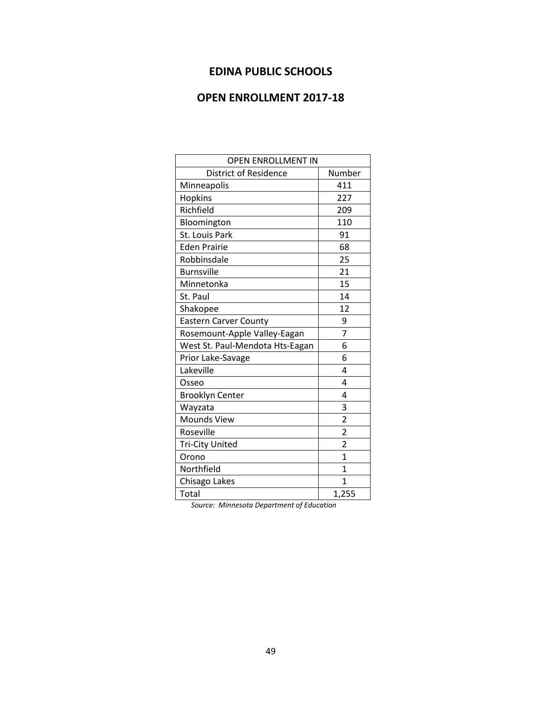## **OPEN ENROLLMENT 2017-18**

| <b>OPEN ENROLLMENT IN</b>       |                |  |  |  |
|---------------------------------|----------------|--|--|--|
| <b>District of Residence</b>    | Number         |  |  |  |
| Minneapolis                     | 411            |  |  |  |
| Hopkins                         | 227            |  |  |  |
| Richfield                       | 209            |  |  |  |
| Bloomington                     | 110            |  |  |  |
| St. Louis Park                  | 91             |  |  |  |
| <b>Eden Prairie</b>             | 68             |  |  |  |
| Robbinsdale                     | 25             |  |  |  |
| <b>Burnsville</b>               | 21             |  |  |  |
| Minnetonka                      | 15             |  |  |  |
| St. Paul                        | 14             |  |  |  |
| Shakopee                        | 12             |  |  |  |
| <b>Eastern Carver County</b>    | 9              |  |  |  |
| Rosemount-Apple Valley-Eagan    | $\overline{7}$ |  |  |  |
| West St. Paul-Mendota Hts-Eagan | 6              |  |  |  |
| Prior Lake-Savage               | 6              |  |  |  |
| Lakeville                       | 4              |  |  |  |
| Osseo                           | 4              |  |  |  |
| <b>Brooklyn Center</b>          | 4              |  |  |  |
| Wayzata                         | 3              |  |  |  |
| <b>Mounds View</b>              | $\overline{c}$ |  |  |  |
| Roseville                       | $\overline{2}$ |  |  |  |
| <b>Tri-City United</b>          | $\overline{2}$ |  |  |  |
| Orono                           | 1              |  |  |  |
| Northfield                      | 1              |  |  |  |
| Chisago Lakes                   | 1              |  |  |  |
| Total                           | 1,255          |  |  |  |

*Source: Minnesota Department of Education*